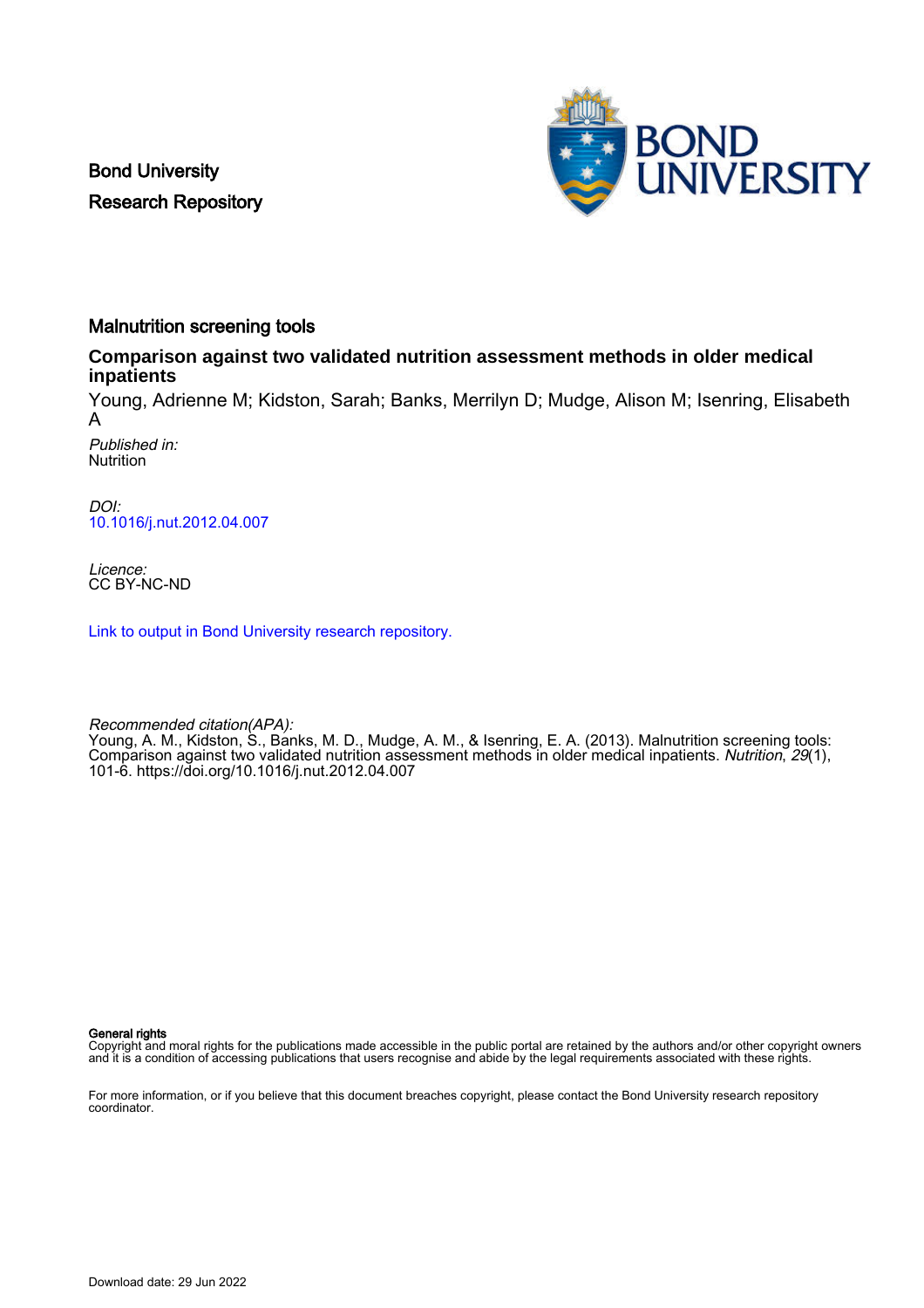Bond University Research Repository



# Malnutrition screening tools

# **Comparison against two validated nutrition assessment methods in older medical inpatients**

Young, Adrienne M; Kidston, Sarah; Banks, Merrilyn D; Mudge, Alison M; Isenring, Elisabeth A

Published in: **Nutrition** 

DOI: [10.1016/j.nut.2012.04.007](https://doi.org/10.1016/j.nut.2012.04.007)

Licence: CC BY-NC-ND

[Link to output in Bond University research repository.](https://research.bond.edu.au/en/publications/b5a43f0f-6bbd-4682-8019-a2a024d19cd5)

Recommended citation(APA):

Young, A. M., Kidston, S., Banks, M. D., Mudge, A. M., & Isenring, E. A. (2013). Malnutrition screening tools: Comparison against two validated nutrition assessment methods in older medical inpatients. Nutrition, 29(1), 101-6.<https://doi.org/10.1016/j.nut.2012.04.007>

General rights

Copyright and moral rights for the publications made accessible in the public portal are retained by the authors and/or other copyright owners and it is a condition of accessing publications that users recognise and abide by the legal requirements associated with these rights.

For more information, or if you believe that this document breaches copyright, please contact the Bond University research repository coordinator.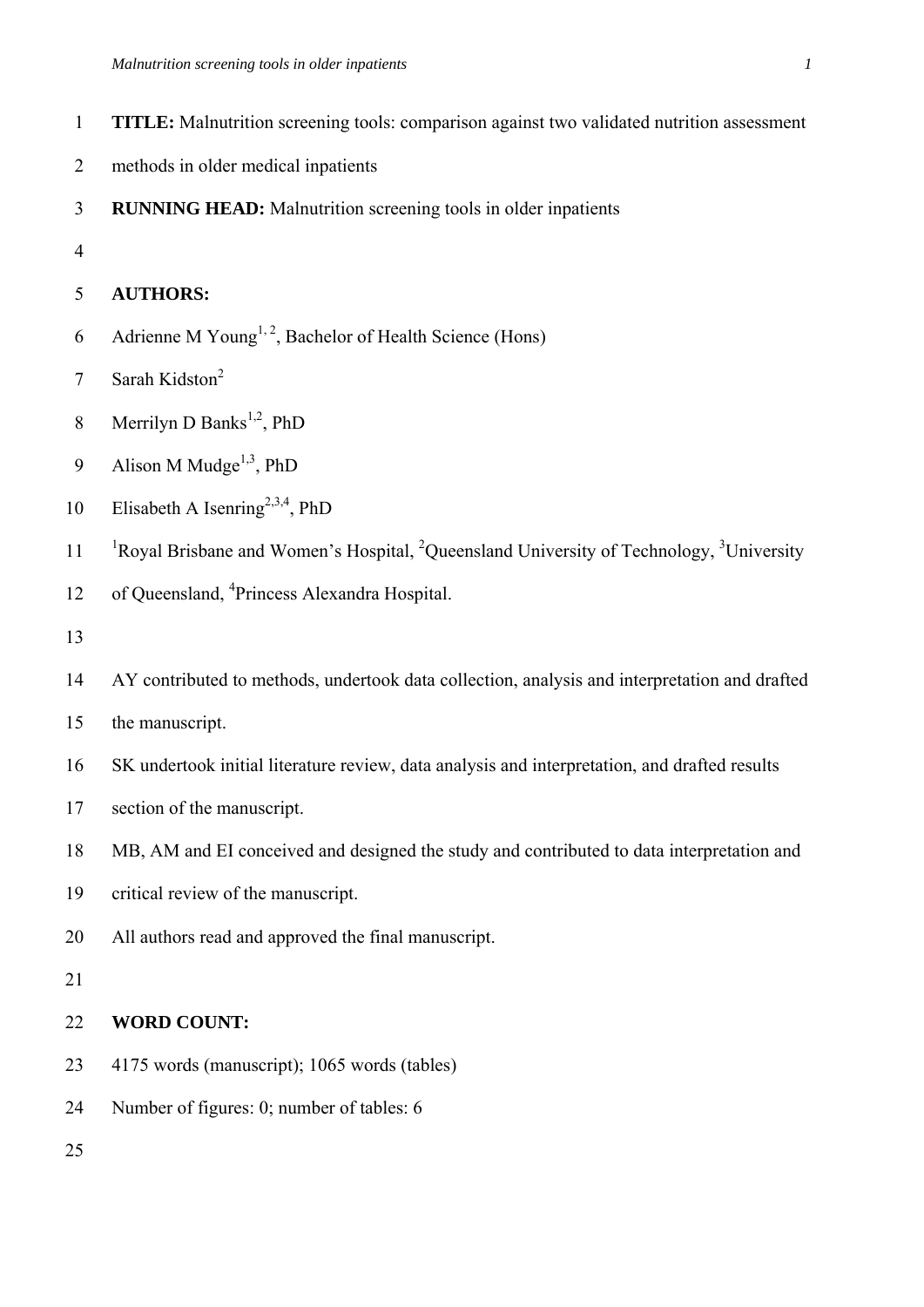- 1 **TITLE:** Malnutrition screening tools: comparison against two validated nutrition assessment
- 2 methods in older medical inpatients
- 3 **RUNNING HEAD:** Malnutrition screening tools in older inpatients
- 4

## 5 **AUTHORS:**

- 6 Adrienne M Young<sup>1, 2</sup>, Bachelor of Health Science (Hons)
- 7 Sarah Kidston<sup>2</sup>
- 8 Merrilyn D Banks<sup>1,2</sup>, PhD
- 9 Alison M Mudge<sup>1,3</sup>, PhD
- 10 Elisabeth A Isenring<sup>2,3,4</sup>, PhD
- <sup>1</sup> Royal Brisbane and Women's Hospital, <sup>2</sup>Queensland University of Technology, <sup>3</sup>University
- 12 of Queensland, <sup>4</sup> Princess Alexandra Hospital.
- 13
- 14 AY contributed to methods, undertook data collection, analysis and interpretation and drafted
- 15 the manuscript.
- 16 SK undertook initial literature review, data analysis and interpretation, and drafted results
- 17 section of the manuscript.
- 18 MB, AM and EI conceived and designed the study and contributed to data interpretation and
- 19 critical review of the manuscript.
- 20 All authors read and approved the final manuscript.

## 21

# 22 **WORD COUNT:**

- 23 4175 words (manuscript); 1065 words (tables)
- 24 Number of figures: 0; number of tables: 6
- 25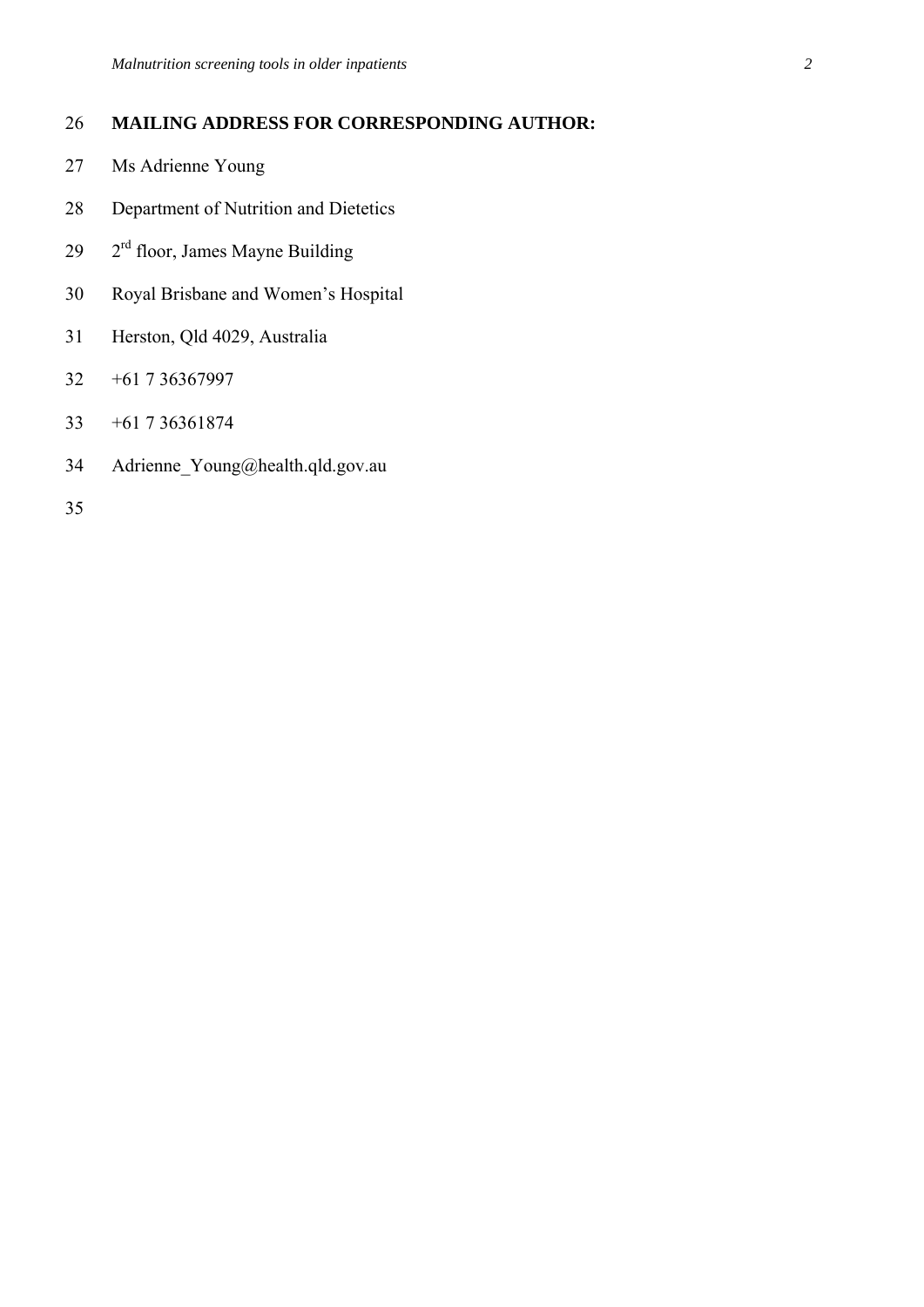# 26 **MAILING ADDRESS FOR CORRESPONDING AUTHOR:**

- 27 Ms Adrienne Young
- 28 Department of Nutrition and Dietetics
- $29 \text{ }$   $2^{\text{rd}}$  floor, James Mayne Building
- 30 Royal Brisbane and Women's Hospital
- 31 Herston, Qld 4029, Australia
- 32 +61 7 36367997
- 33 +61 7 36361874
- 34 Adrienne\_Young@health.qld.gov.au
- 35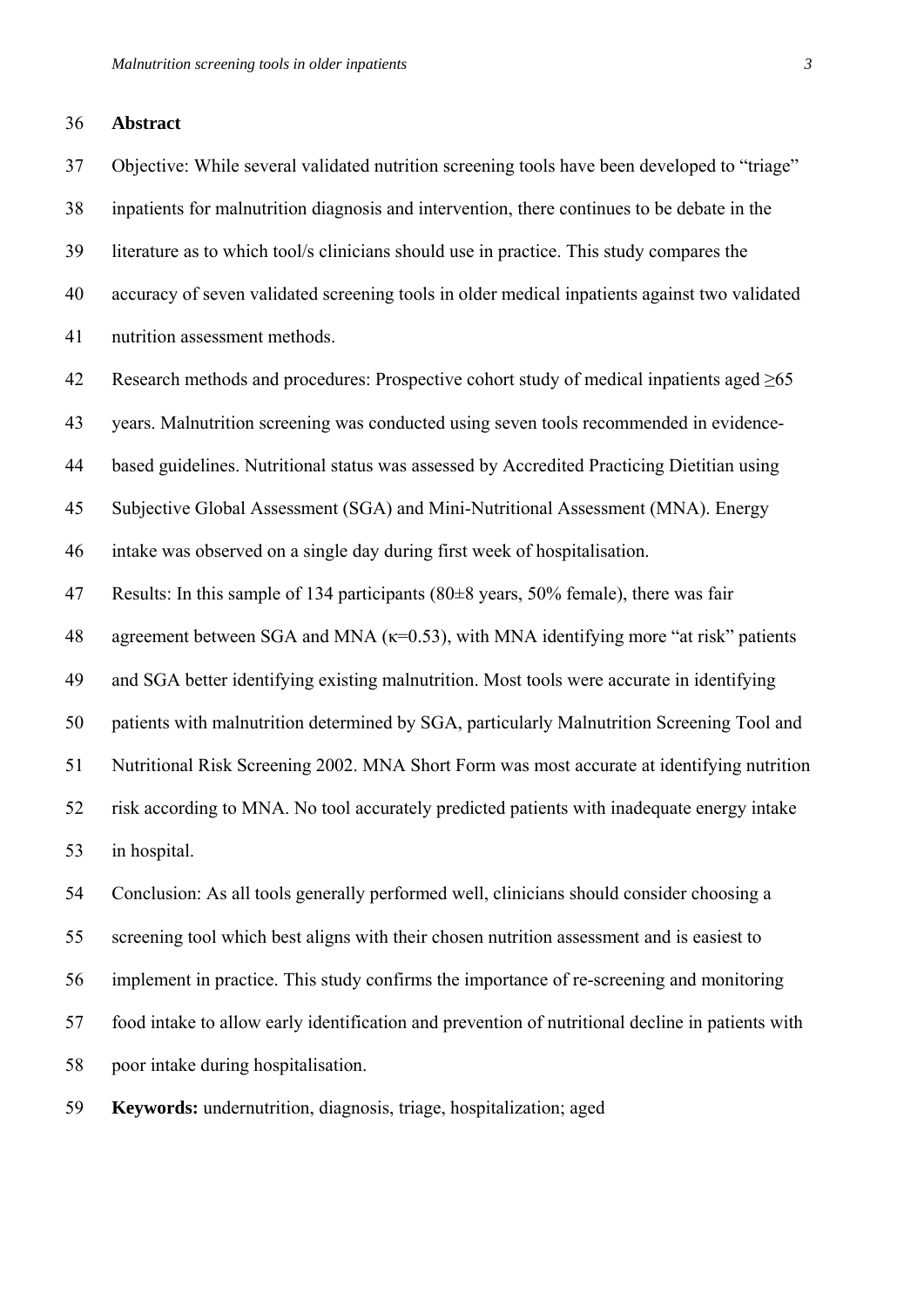#### 36 **Abstract**

37 Objective: While several validated nutrition screening tools have been developed to "triage" 38 inpatients for malnutrition diagnosis and intervention, there continues to be debate in the 39 literature as to which tool/s clinicians should use in practice. This study compares the 40 accuracy of seven validated screening tools in older medical inpatients against two validated 41 nutrition assessment methods.

42 Research methods and procedures: Prospective cohort study of medical inpatients aged  $\geq 65$ 

43 years. Malnutrition screening was conducted using seven tools recommended in evidence-

44 based guidelines. Nutritional status was assessed by Accredited Practicing Dietitian using

45 Subjective Global Assessment (SGA) and Mini-Nutritional Assessment (MNA). Energy

46 intake was observed on a single day during first week of hospitalisation.

47 Results: In this sample of 134 participants (80±8 years, 50% female), there was fair

48 agreement between SGA and MNA  $(\kappa=0.53)$ , with MNA identifying more "at risk" patients

49 and SGA better identifying existing malnutrition. Most tools were accurate in identifying

50 patients with malnutrition determined by SGA, particularly Malnutrition Screening Tool and

51 Nutritional Risk Screening 2002. MNA Short Form was most accurate at identifying nutrition

52 risk according to MNA. No tool accurately predicted patients with inadequate energy intake 53 in hospital.

54 Conclusion: As all tools generally performed well, clinicians should consider choosing a 55 screening tool which best aligns with their chosen nutrition assessment and is easiest to 56 implement in practice. This study confirms the importance of re-screening and monitoring 57 food intake to allow early identification and prevention of nutritional decline in patients with 58 poor intake during hospitalisation.

59 **Keywords:** undernutrition, diagnosis, triage, hospitalization; aged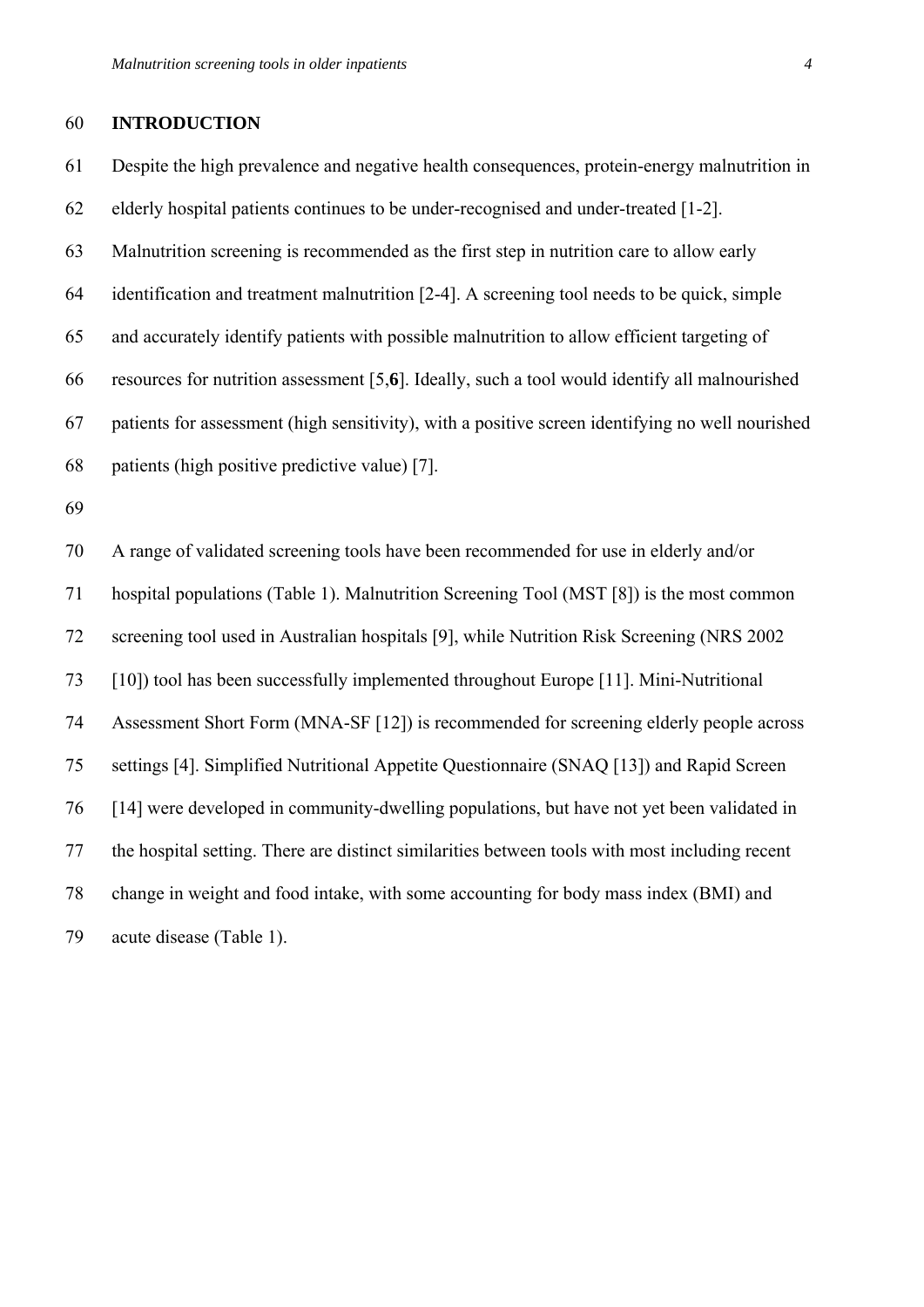#### 60 **INTRODUCTION**

61 Despite the high prevalence and negative health consequences, protein-energy malnutrition in 62 elderly hospital patients continues to be under-recognised and under-treated [1-2]. 63 Malnutrition screening is recommended as the first step in nutrition care to allow early 64 identification and treatment malnutrition [2-4]. A screening tool needs to be quick, simple 65 and accurately identify patients with possible malnutrition to allow efficient targeting of 66 resources for nutrition assessment [5,**6**]. Ideally, such a tool would identify all malnourished 67 patients for assessment (high sensitivity), with a positive screen identifying no well nourished 68 patients (high positive predictive value) [7]. 69 70 A range of validated screening tools have been recommended for use in elderly and/or 71 hospital populations (Table 1). Malnutrition Screening Tool (MST [8]) is the most common 72 screening tool used in Australian hospitals [9], while Nutrition Risk Screening (NRS 2002

73 [10]) tool has been successfully implemented throughout Europe [11]. Mini-Nutritional

74 Assessment Short Form (MNA-SF [12]) is recommended for screening elderly people across

75 settings [4]. Simplified Nutritional Appetite Questionnaire (SNAQ [13]) and Rapid Screen 76 [14] were developed in community-dwelling populations, but have not yet been validated in 77 the hospital setting. There are distinct similarities between tools with most including recent 78 change in weight and food intake, with some accounting for body mass index (BMI) and 79 acute disease (Table 1).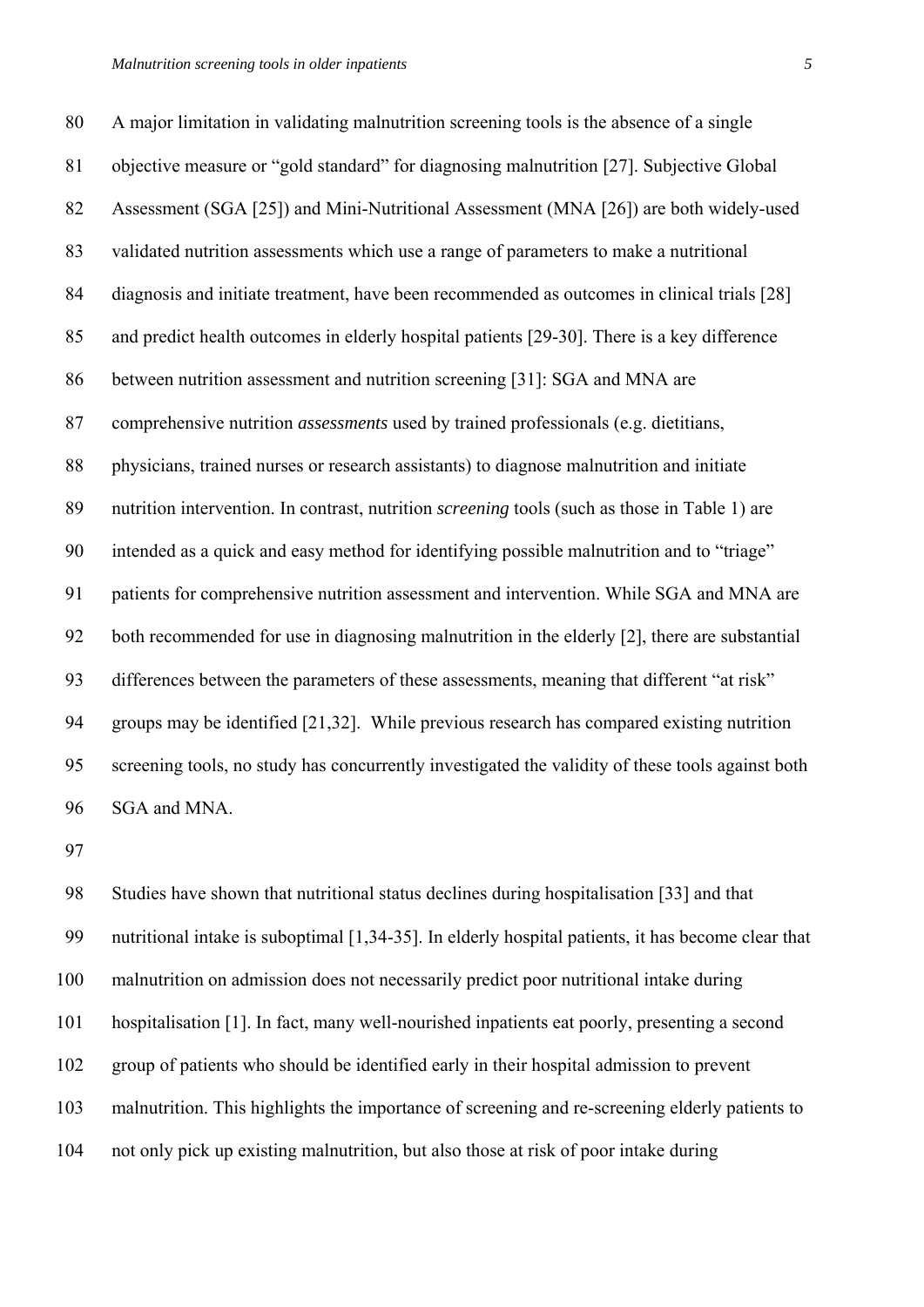80 A major limitation in validating malnutrition screening tools is the absence of a single 81 objective measure or "gold standard" for diagnosing malnutrition [27]. Subjective Global 82 Assessment (SGA [25]) and Mini-Nutritional Assessment (MNA [26]) are both widely-used 83 validated nutrition assessments which use a range of parameters to make a nutritional 84 diagnosis and initiate treatment, have been recommended as outcomes in clinical trials [28] 85 and predict health outcomes in elderly hospital patients [29-30]. There is a key difference 86 between nutrition assessment and nutrition screening [31]: SGA and MNA are 87 comprehensive nutrition *assessments* used by trained professionals (e.g. dietitians, 88 physicians, trained nurses or research assistants) to diagnose malnutrition and initiate 89 nutrition intervention. In contrast, nutrition *screening* tools (such as those in Table 1) are 90 intended as a quick and easy method for identifying possible malnutrition and to "triage" 91 patients for comprehensive nutrition assessment and intervention. While SGA and MNA are 92 both recommended for use in diagnosing malnutrition in the elderly [2], there are substantial 93 differences between the parameters of these assessments, meaning that different "at risk" 94 groups may be identified [21,32]. While previous research has compared existing nutrition 95 screening tools, no study has concurrently investigated the validity of these tools against both

96 SGA and MNA.

97

98 Studies have shown that nutritional status declines during hospitalisation [33] and that 99 nutritional intake is suboptimal [1,34-35]. In elderly hospital patients, it has become clear that 100 malnutrition on admission does not necessarily predict poor nutritional intake during 101 hospitalisation [1]. In fact, many well-nourished inpatients eat poorly, presenting a second 102 group of patients who should be identified early in their hospital admission to prevent 103 malnutrition. This highlights the importance of screening and re-screening elderly patients to 104 not only pick up existing malnutrition, but also those at risk of poor intake during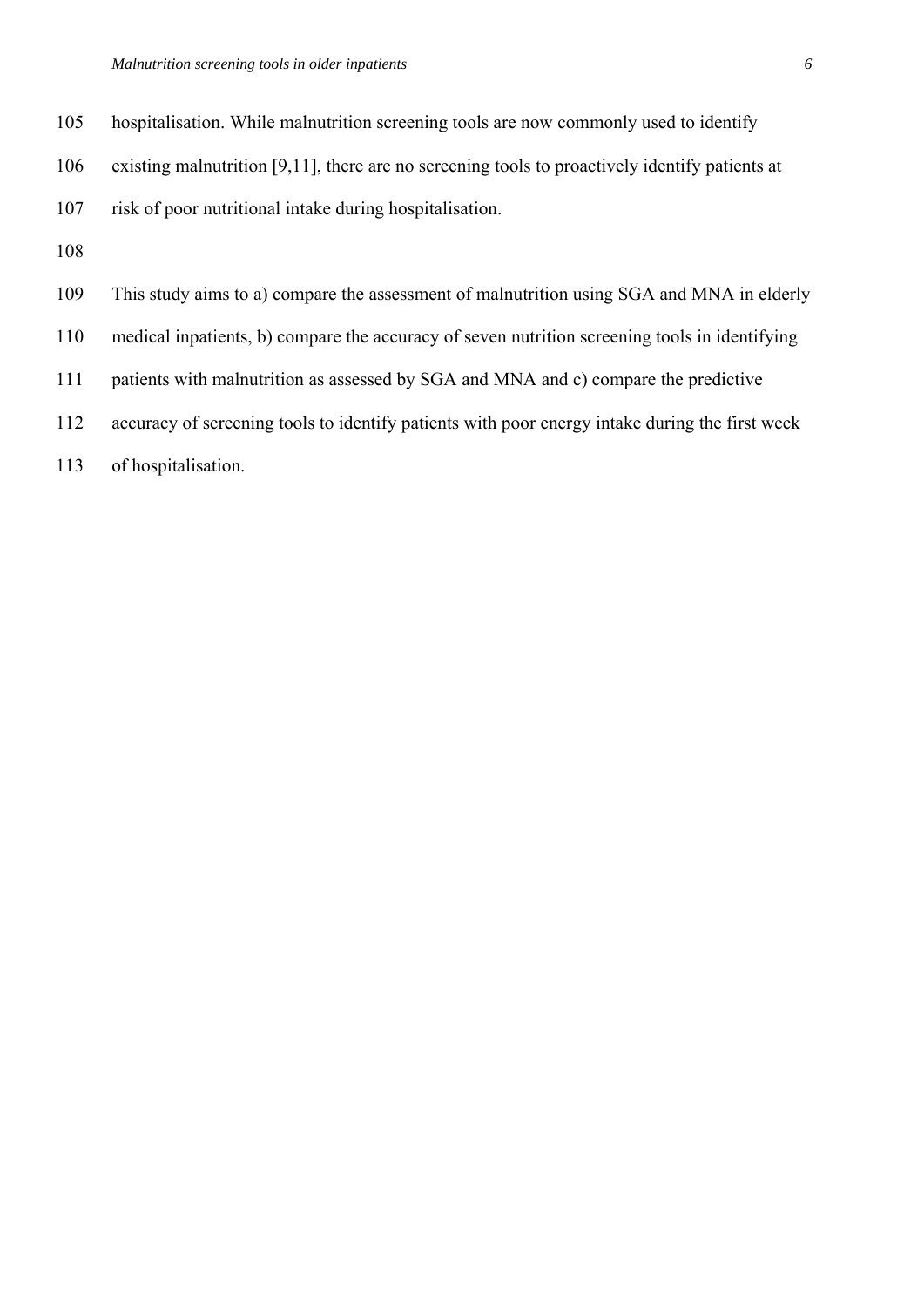- 105 hospitalisation. While malnutrition screening tools are now commonly used to identify
- 106 existing malnutrition [9,11], there are no screening tools to proactively identify patients at
- 107 risk of poor nutritional intake during hospitalisation.
- 108
- 109 This study aims to a) compare the assessment of malnutrition using SGA and MNA in elderly
- 110 medical inpatients, b) compare the accuracy of seven nutrition screening tools in identifying
- 111 patients with malnutrition as assessed by SGA and MNA and c) compare the predictive
- 112 accuracy of screening tools to identify patients with poor energy intake during the first week
- 113 of hospitalisation.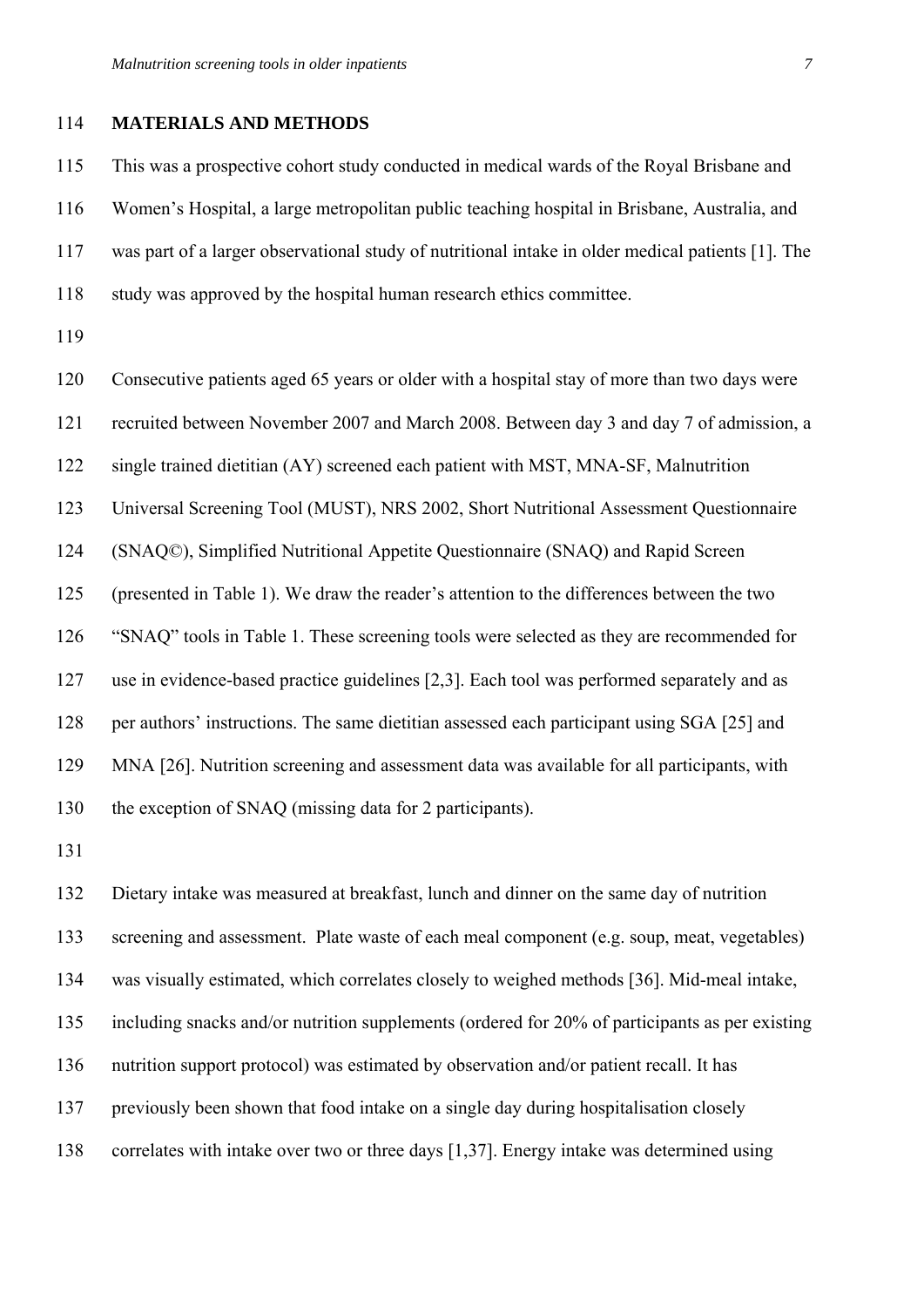#### 114 **MATERIALS AND METHODS**

115 This was a prospective cohort study conducted in medical wards of the Royal Brisbane and 116 Women's Hospital, a large metropolitan public teaching hospital in Brisbane, Australia, and 117 was part of a larger observational study of nutritional intake in older medical patients [1]. The 118 study was approved by the hospital human research ethics committee.

119

120 Consecutive patients aged 65 years or older with a hospital stay of more than two days were

121 recruited between November 2007 and March 2008. Between day 3 and day 7 of admission, a

122 single trained dietitian (AY) screened each patient with MST, MNA-SF, Malnutrition

123 Universal Screening Tool (MUST), NRS 2002, Short Nutritional Assessment Questionnaire

124 (SNAQ©), Simplified Nutritional Appetite Questionnaire (SNAQ) and Rapid Screen

125 (presented in Table 1). We draw the reader's attention to the differences between the two

126 "SNAQ" tools in Table 1. These screening tools were selected as they are recommended for

127 use in evidence-based practice guidelines [2,3]. Each tool was performed separately and as

128 per authors' instructions. The same dietitian assessed each participant using SGA [25] and

129 MNA [26]. Nutrition screening and assessment data was available for all participants, with

130 the exception of SNAQ (missing data for 2 participants).

131

132 Dietary intake was measured at breakfast, lunch and dinner on the same day of nutrition 133 screening and assessment. Plate waste of each meal component (e.g. soup, meat, vegetables) 134 was visually estimated, which correlates closely to weighed methods [36]. Mid-meal intake, 135 including snacks and/or nutrition supplements (ordered for 20% of participants as per existing 136 nutrition support protocol) was estimated by observation and/or patient recall. It has 137 previously been shown that food intake on a single day during hospitalisation closely 138 correlates with intake over two or three days [1,37]. Energy intake was determined using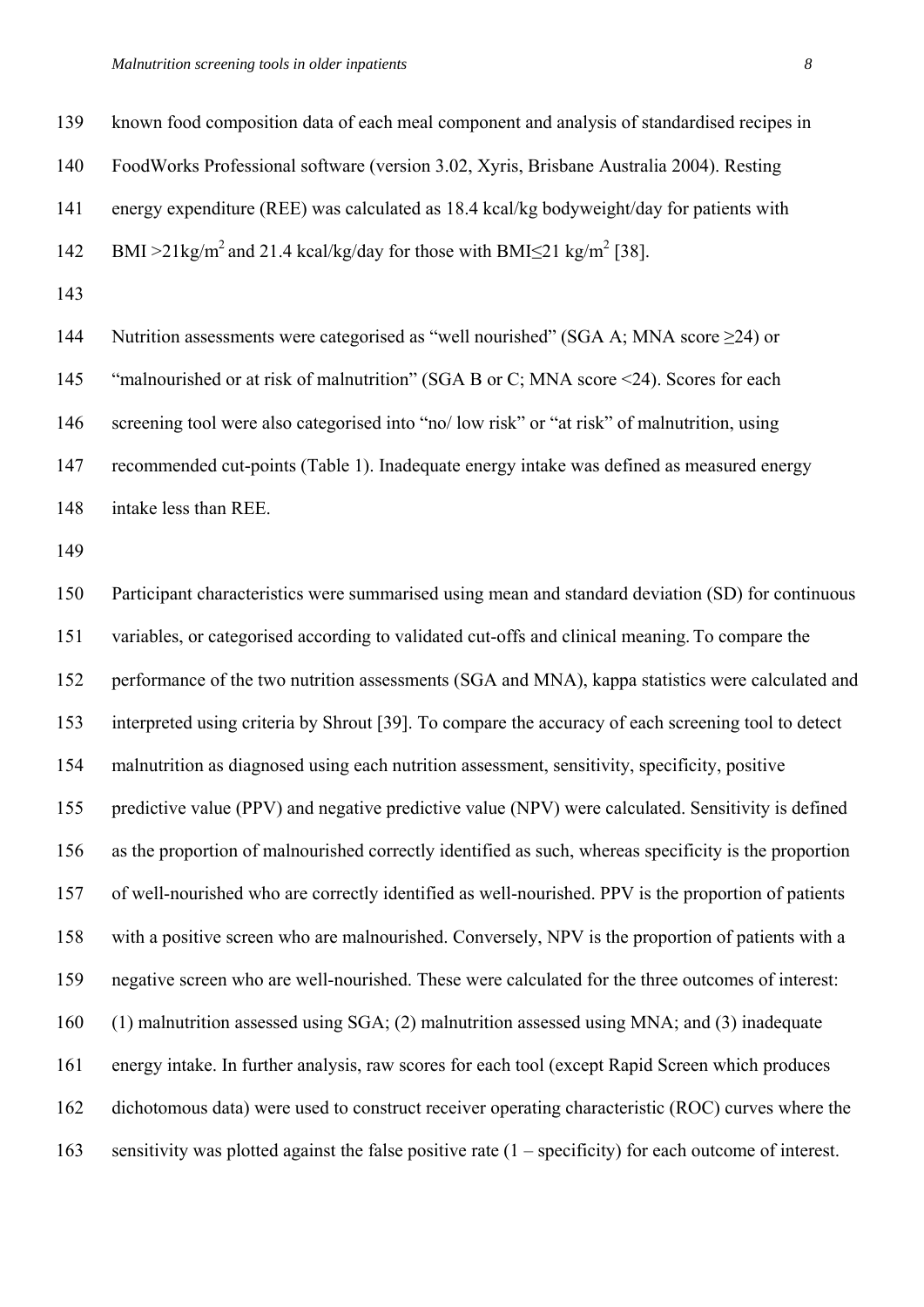139 known food composition data of each meal component and analysis of standardised recipes in

140 FoodWorks Professional software (version 3.02, Xyris, Brisbane Australia 2004). Resting

141 energy expenditure (REE) was calculated as 18.4 kcal/kg bodyweight/day for patients with

142 BMI >21kg/m<sup>2</sup> and 21.4 kcal/kg/day for those with BMI<21 kg/m<sup>2</sup> [38].

143

144 Nutrition assessments were categorised as "well nourished" (SGA A; MNA score  $\geq$ 24) or 145 "malnourished or at risk of malnutrition" (SGA B or C; MNA score <24). Scores for each 146 screening tool were also categorised into "no/ low risk" or "at risk" of malnutrition, using 147 recommended cut-points (Table 1). Inadequate energy intake was defined as measured energy 148 intake less than REE.

149

150 Participant characteristics were summarised using mean and standard deviation (SD) for continuous 151 variables, or categorised according to validated cut-offs and clinical meaning. To compare the 152 performance of the two nutrition assessments (SGA and MNA), kappa statistics were calculated and 153 interpreted using criteria by Shrout [39]. To compare the accuracy of each screening tool to detect 154 malnutrition as diagnosed using each nutrition assessment, sensitivity, specificity, positive 155 predictive value (PPV) and negative predictive value (NPV) were calculated. Sensitivity is defined 156 as the proportion of malnourished correctly identified as such, whereas specificity is the proportion 157 of well-nourished who are correctly identified as well-nourished. PPV is the proportion of patients 158 with a positive screen who are malnourished. Conversely, NPV is the proportion of patients with a 159 negative screen who are well-nourished. These were calculated for the three outcomes of interest: 160 (1) malnutrition assessed using SGA; (2) malnutrition assessed using MNA; and (3) inadequate 161 energy intake. In further analysis, raw scores for each tool (except Rapid Screen which produces 162 dichotomous data) were used to construct receiver operating characteristic (ROC) curves where the 163 sensitivity was plotted against the false positive rate (1 – specificity) for each outcome of interest.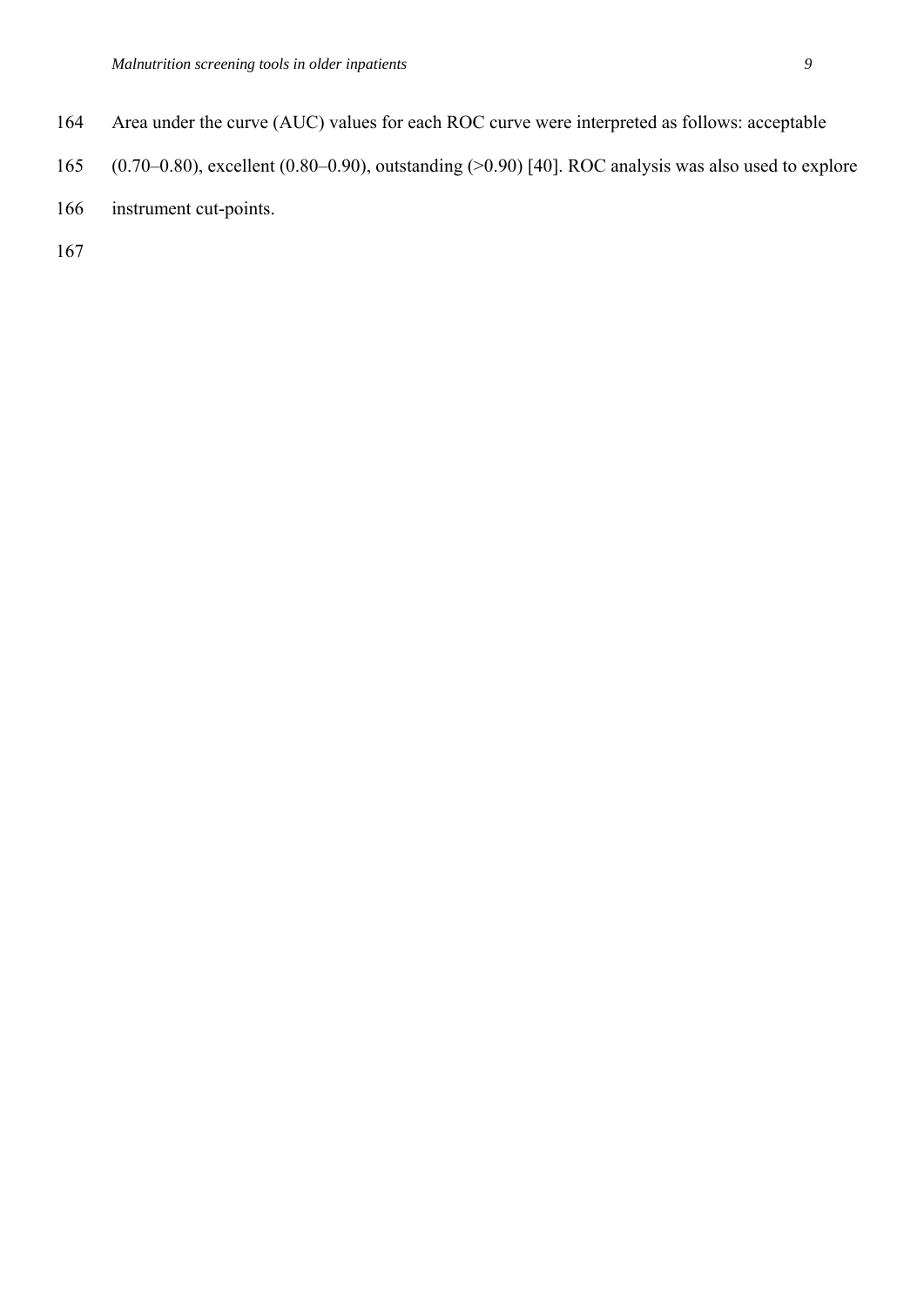- 164 Area under the curve (AUC) values for each ROC curve were interpreted as follows: acceptable
- 165 (0.70–0.80), excellent (0.80–0.90), outstanding (>0.90) [40]. ROC analysis was also used to explore
- 166 instrument cut-points.

167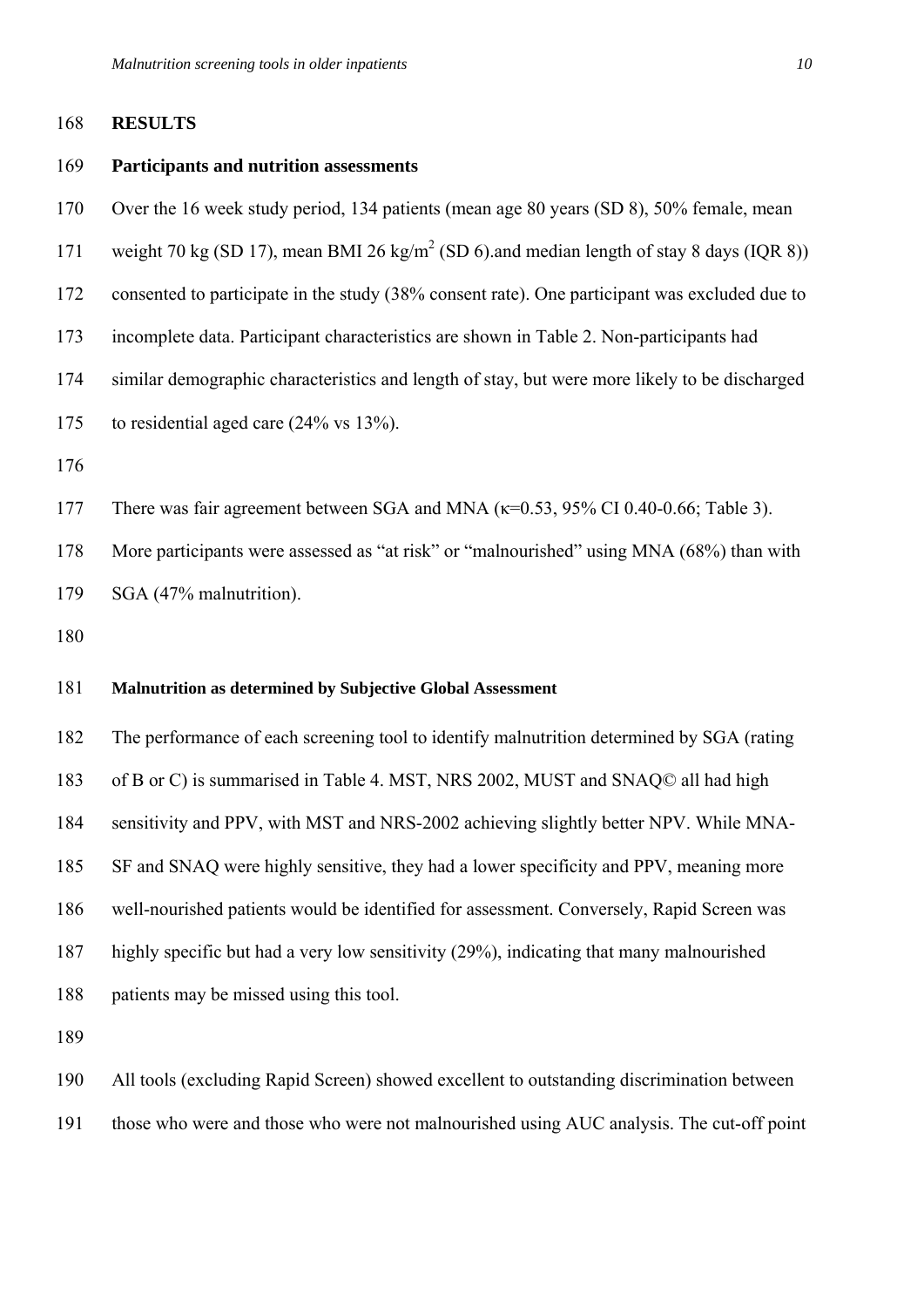#### 168 **RESULTS**

#### 169 **Participants and nutrition assessments**

- 170 Over the 16 week study period, 134 patients (mean age 80 years (SD 8), 50% female, mean
- 171 weight 70 kg (SD 17), mean BMI 26 kg/m<sup>2</sup> (SD 6).and median length of stay 8 days (IQR 8))
- 172 consented to participate in the study (38% consent rate). One participant was excluded due to
- 173 incomplete data. Participant characteristics are shown in Table 2. Non-participants had
- 174 similar demographic characteristics and length of stay, but were more likely to be discharged
- 175 to residential aged care (24% vs 13%).
- 176
- 177 There was fair agreement between SGA and MNA (κ=0.53, 95% CI 0.40-0.66; Table 3).
- 178 More participants were assessed as "at risk" or "malnourished" using MNA (68%) than with

179 SGA (47% malnutrition).

180

# 181 **Malnutrition as determined by Subjective Global Assessment**

182 The performance of each screening tool to identify malnutrition determined by SGA (rating 183 of B or C) is summarised in Table 4. MST, NRS 2002, MUST and SNAQ© all had high 184 sensitivity and PPV, with MST and NRS-2002 achieving slightly better NPV. While MNA-185 SF and SNAQ were highly sensitive, they had a lower specificity and PPV, meaning more 186 well-nourished patients would be identified for assessment. Conversely, Rapid Screen was 187 highly specific but had a very low sensitivity (29%), indicating that many malnourished 188 patients may be missed using this tool.

189

190 All tools (excluding Rapid Screen) showed excellent to outstanding discrimination between

191 those who were and those who were not malnourished using AUC analysis. The cut-off point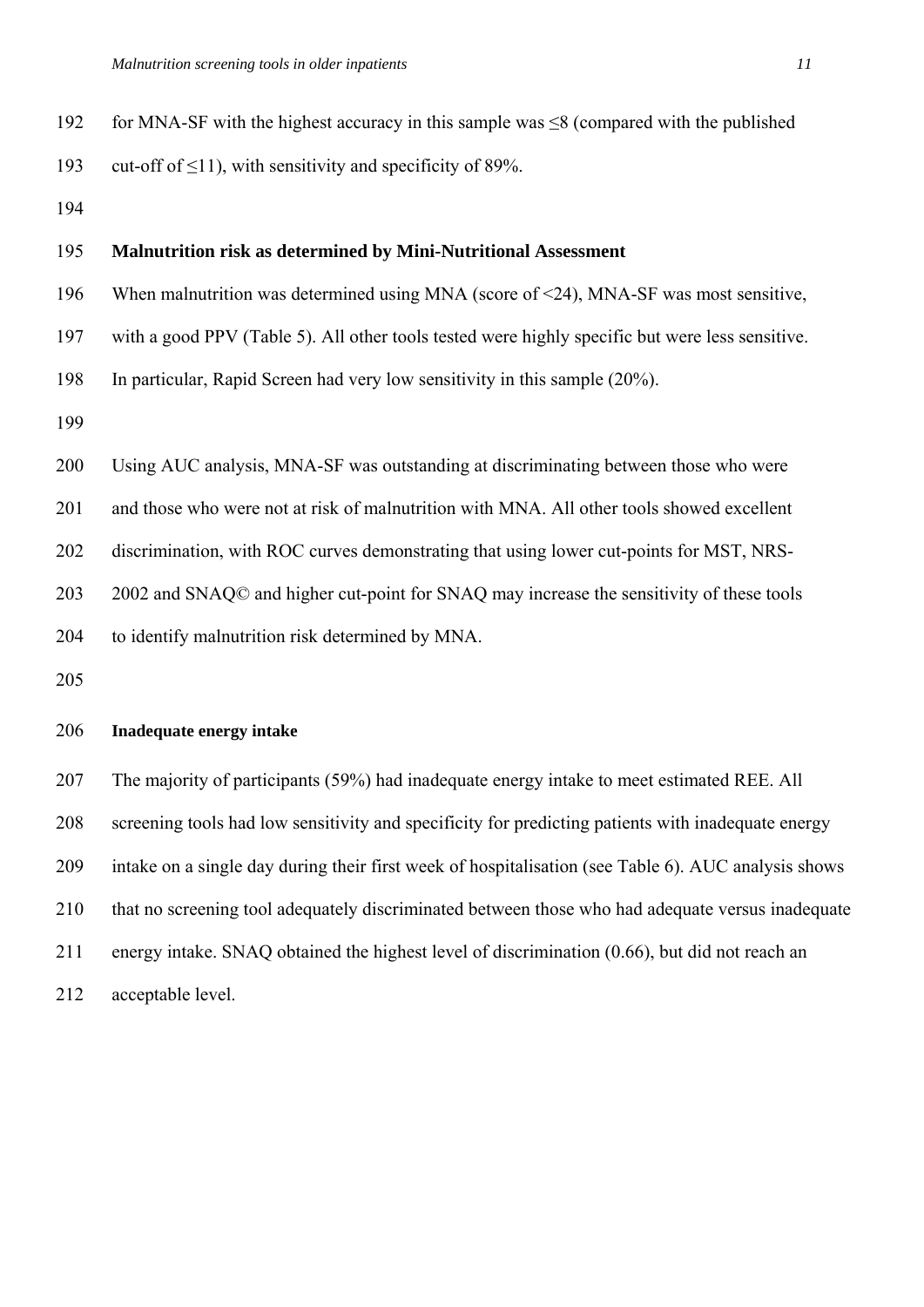| 192 | for MNA-SF with the highest accuracy in this sample was $\leq$ 8 (compared with the published |
|-----|-----------------------------------------------------------------------------------------------|
| 193 | cut-off of $\leq$ 11), with sensitivity and specificity of 89%.                               |
| 194 |                                                                                               |

# 195 **Malnutrition risk as determined by Mini-Nutritional Assessment**

196 When malnutrition was determined using MNA (score of <24), MNA-SF was most sensitive,

197 with a good PPV (Table 5). All other tools tested were highly specific but were less sensitive.

198 In particular, Rapid Screen had very low sensitivity in this sample (20%).

199

200 Using AUC analysis, MNA-SF was outstanding at discriminating between those who were

201 and those who were not at risk of malnutrition with MNA. All other tools showed excellent

202 discrimination, with ROC curves demonstrating that using lower cut-points for MST, NRS-

203 2002 and SNAQ© and higher cut-point for SNAQ may increase the sensitivity of these tools

204 to identify malnutrition risk determined by MNA.

205

### 206 **Inadequate energy intake**

207 The majority of participants (59%) had inadequate energy intake to meet estimated REE. All 208 screening tools had low sensitivity and specificity for predicting patients with inadequate energy 209 intake on a single day during their first week of hospitalisation (see Table 6). AUC analysis shows 210 that no screening tool adequately discriminated between those who had adequate versus inadequate 211 energy intake. SNAQ obtained the highest level of discrimination (0.66), but did not reach an 212 acceptable level.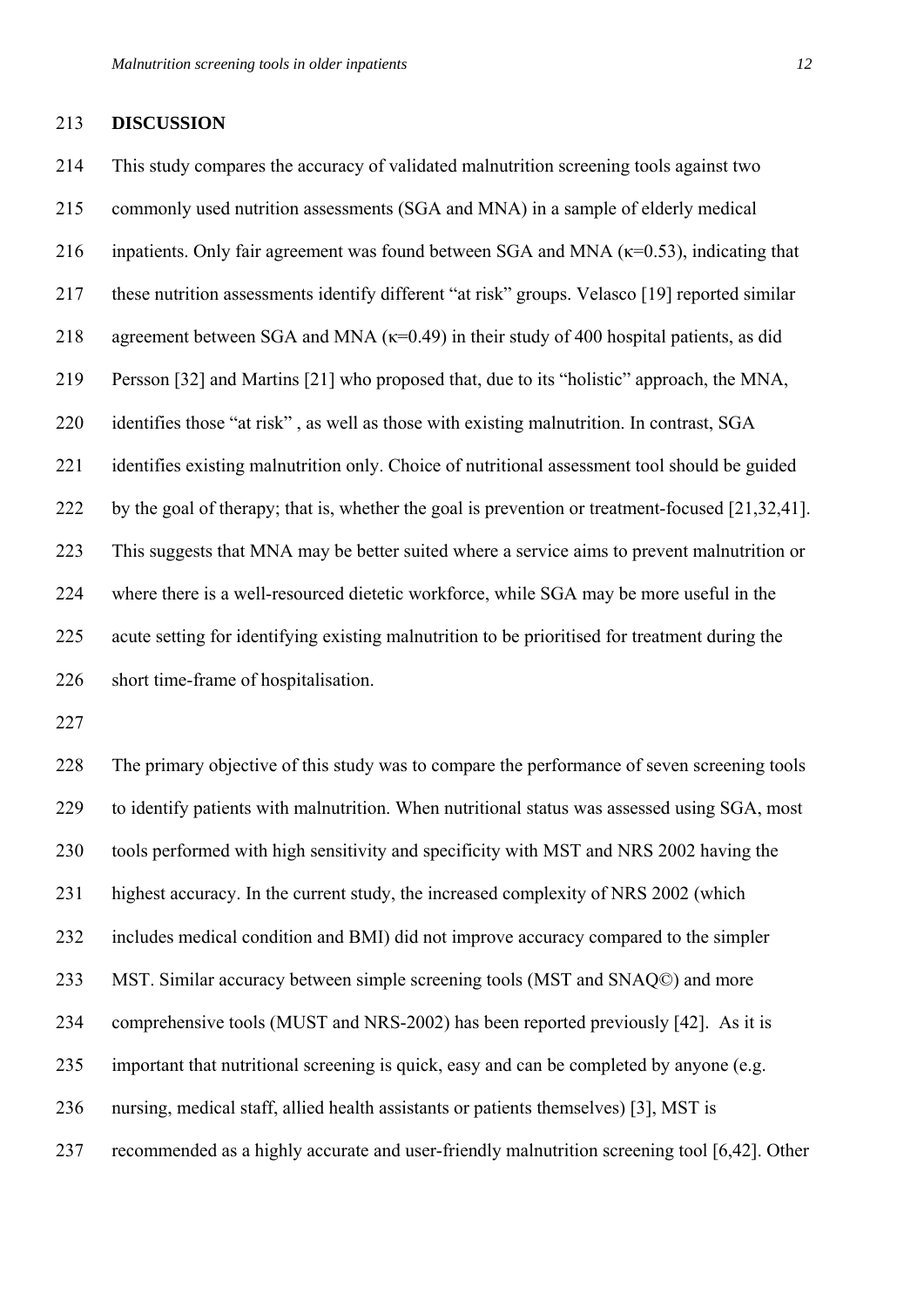#### 213 **DISCUSSION**

214 This study compares the accuracy of validated malnutrition screening tools against two 215 commonly used nutrition assessments (SGA and MNA) in a sample of elderly medical 216 inpatients. Only fair agreement was found between SGA and MNA  $(\kappa=0.53)$ , indicating that 217 these nutrition assessments identify different "at risk" groups. Velasco [19] reported similar 218 agreement between SGA and MNA  $(\kappa=0.49)$  in their study of 400 hospital patients, as did 219 Persson [32] and Martins [21] who proposed that, due to its "holistic" approach, the MNA, 220 identifies those "at risk" , as well as those with existing malnutrition. In contrast, SGA 221 identifies existing malnutrition only. Choice of nutritional assessment tool should be guided 222 by the goal of therapy; that is, whether the goal is prevention or treatment-focused [21,32,41]. 223 This suggests that MNA may be better suited where a service aims to prevent malnutrition or 224 where there is a well-resourced dietetic workforce, while SGA may be more useful in the 225 acute setting for identifying existing malnutrition to be prioritised for treatment during the 226 short time-frame of hospitalisation.

227

228 The primary objective of this study was to compare the performance of seven screening tools 229 to identify patients with malnutrition. When nutritional status was assessed using SGA, most 230 tools performed with high sensitivity and specificity with MST and NRS 2002 having the 231 highest accuracy. In the current study, the increased complexity of NRS 2002 (which 232 includes medical condition and BMI) did not improve accuracy compared to the simpler 233 MST. Similar accuracy between simple screening tools (MST and SNAQ©) and more 234 comprehensive tools (MUST and NRS-2002) has been reported previously [42]. As it is 235 important that nutritional screening is quick, easy and can be completed by anyone (e.g. 236 nursing, medical staff, allied health assistants or patients themselves) [3], MST is 237 recommended as a highly accurate and user-friendly malnutrition screening tool [6,42]. Other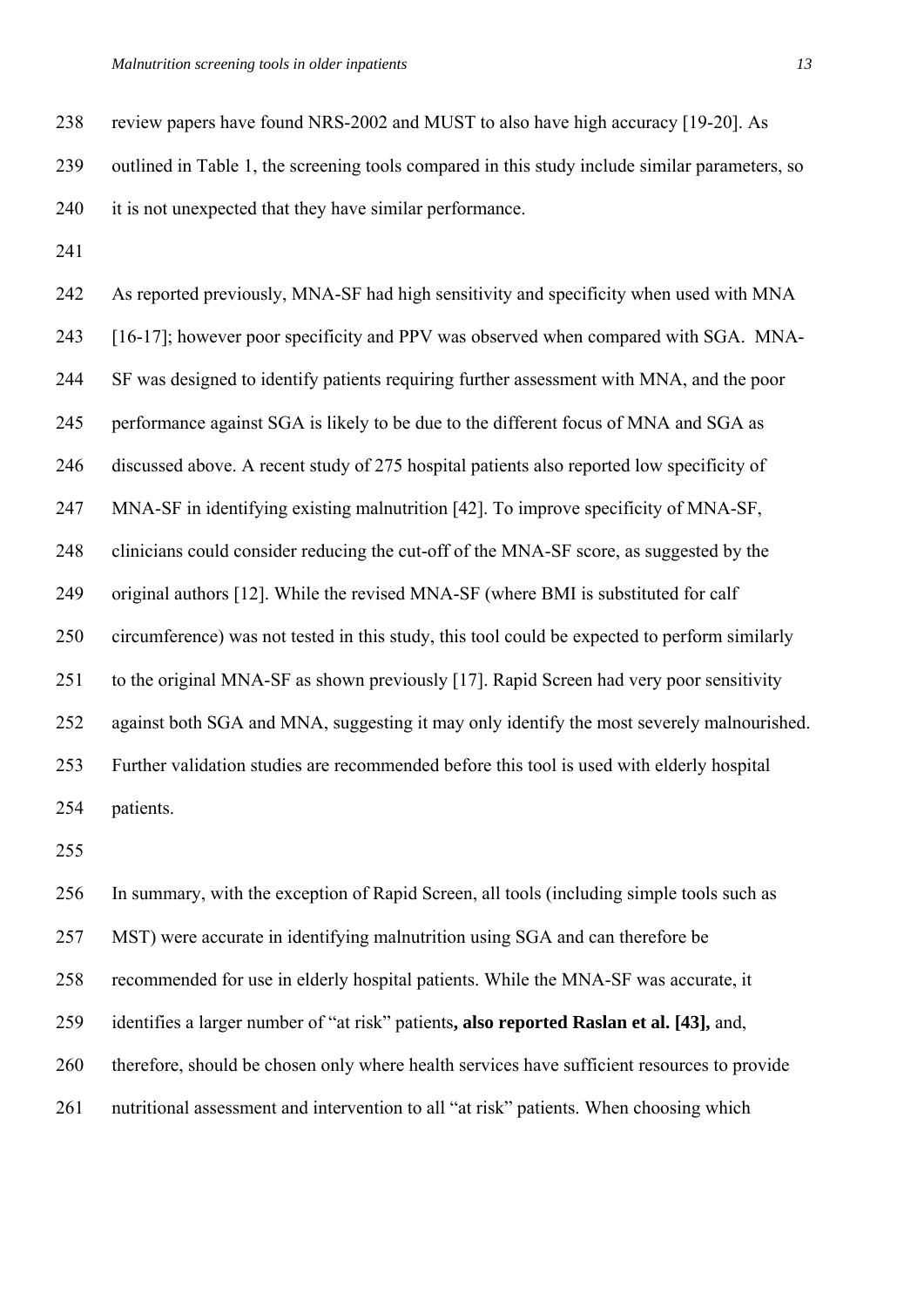238 review papers have found NRS-2002 and MUST to also have high accuracy [19-20]. As 239 outlined in Table 1, the screening tools compared in this study include similar parameters, so 240 it is not unexpected that they have similar performance.

241

242 As reported previously, MNA-SF had high sensitivity and specificity when used with MNA 243 [16-17]; however poor specificity and PPV was observed when compared with SGA. MNA-244 SF was designed to identify patients requiring further assessment with MNA, and the poor 245 performance against SGA is likely to be due to the different focus of MNA and SGA as 246 discussed above. A recent study of 275 hospital patients also reported low specificity of 247 MNA-SF in identifying existing malnutrition [42]. To improve specificity of MNA-SF, 248 clinicians could consider reducing the cut-off of the MNA-SF score, as suggested by the 249 original authors [12]. While the revised MNA-SF (where BMI is substituted for calf 250 circumference) was not tested in this study, this tool could be expected to perform similarly 251 to the original MNA-SF as shown previously [17]. Rapid Screen had very poor sensitivity 252 against both SGA and MNA, suggesting it may only identify the most severely malnourished. 253 Further validation studies are recommended before this tool is used with elderly hospital 254 patients.

255

256 In summary, with the exception of Rapid Screen, all tools (including simple tools such as 257 MST) were accurate in identifying malnutrition using SGA and can therefore be 258 recommended for use in elderly hospital patients. While the MNA-SF was accurate, it 259 identifies a larger number of "at risk" patients**, also reported Raslan et al. [43],** and, 260 therefore, should be chosen only where health services have sufficient resources to provide 261 nutritional assessment and intervention to all "at risk" patients. When choosing which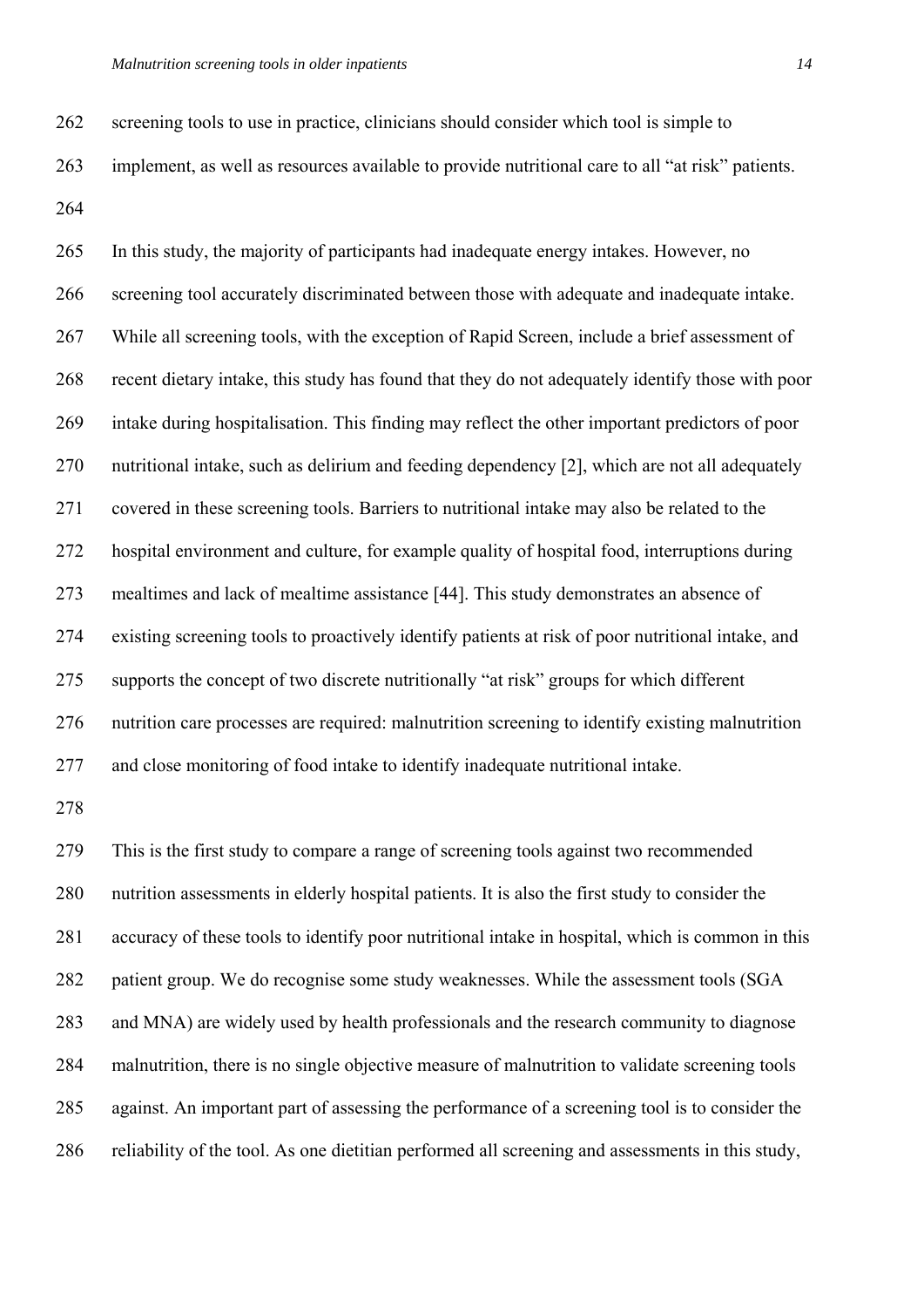262 screening tools to use in practice, clinicians should consider which tool is simple to

263 implement, as well as resources available to provide nutritional care to all "at risk" patients.

264

265 In this study, the majority of participants had inadequate energy intakes. However, no 266 screening tool accurately discriminated between those with adequate and inadequate intake. 267 While all screening tools, with the exception of Rapid Screen, include a brief assessment of 268 recent dietary intake, this study has found that they do not adequately identify those with poor 269 intake during hospitalisation. This finding may reflect the other important predictors of poor 270 nutritional intake, such as delirium and feeding dependency [2], which are not all adequately 271 covered in these screening tools. Barriers to nutritional intake may also be related to the 272 hospital environment and culture, for example quality of hospital food, interruptions during 273 mealtimes and lack of mealtime assistance [44]. This study demonstrates an absence of 274 existing screening tools to proactively identify patients at risk of poor nutritional intake, and 275 supports the concept of two discrete nutritionally "at risk" groups for which different 276 nutrition care processes are required: malnutrition screening to identify existing malnutrition 277 and close monitoring of food intake to identify inadequate nutritional intake.

278

279 This is the first study to compare a range of screening tools against two recommended 280 nutrition assessments in elderly hospital patients. It is also the first study to consider the 281 accuracy of these tools to identify poor nutritional intake in hospital, which is common in this 282 patient group. We do recognise some study weaknesses. While the assessment tools (SGA 283 and MNA) are widely used by health professionals and the research community to diagnose 284 malnutrition, there is no single objective measure of malnutrition to validate screening tools 285 against. An important part of assessing the performance of a screening tool is to consider the 286 reliability of the tool. As one dietitian performed all screening and assessments in this study,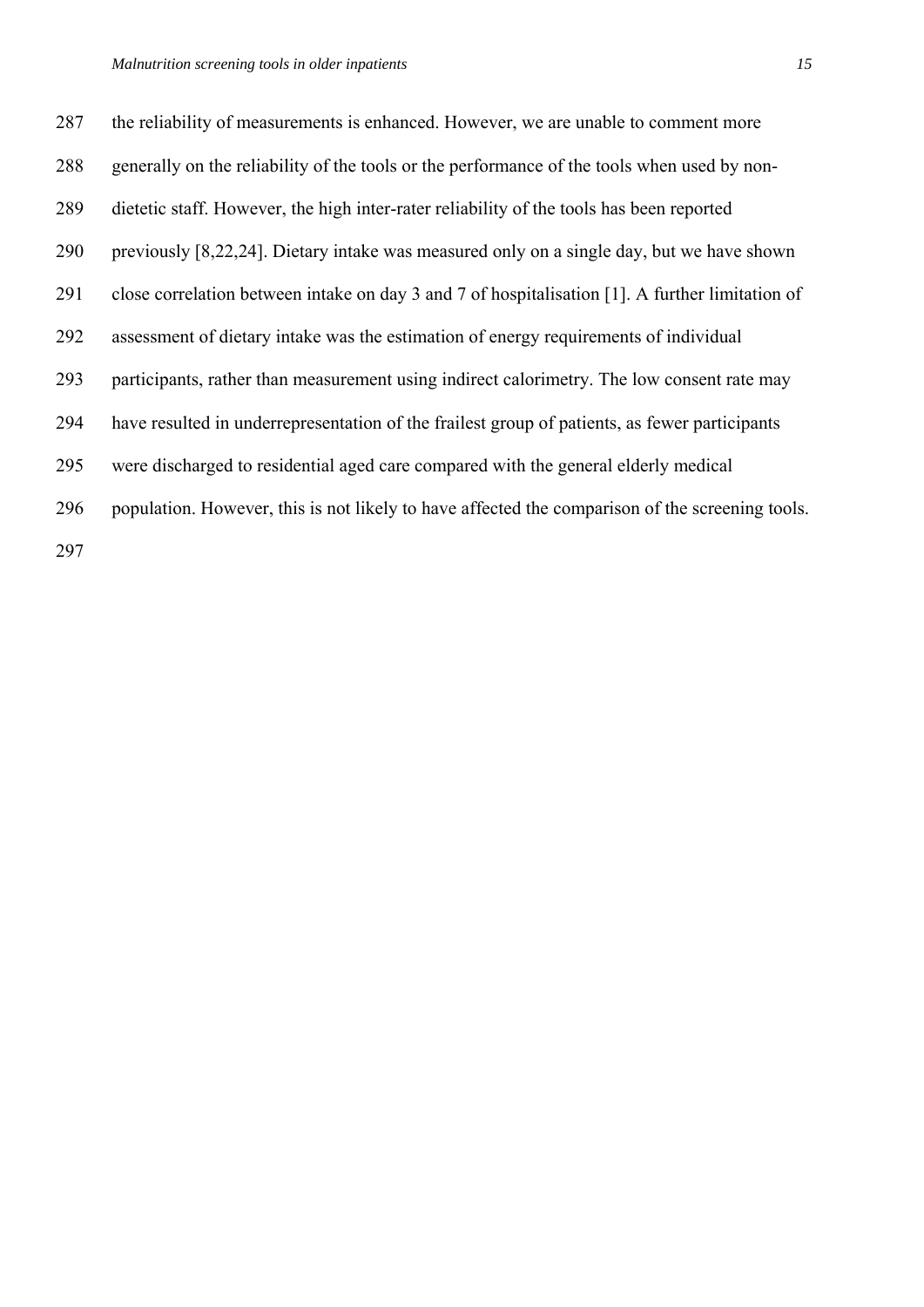287 the reliability of measurements is enhanced. However, we are unable to comment more 288 generally on the reliability of the tools or the performance of the tools when used by non-289 dietetic staff. However, the high inter-rater reliability of the tools has been reported 290 previously [8,22,24]. Dietary intake was measured only on a single day, but we have shown 291 close correlation between intake on day 3 and 7 of hospitalisation [1]. A further limitation of 292 assessment of dietary intake was the estimation of energy requirements of individual 293 participants, rather than measurement using indirect calorimetry. The low consent rate may 294 have resulted in underrepresentation of the frailest group of patients, as fewer participants 295 were discharged to residential aged care compared with the general elderly medical 296 population. However, this is not likely to have affected the comparison of the screening tools.

297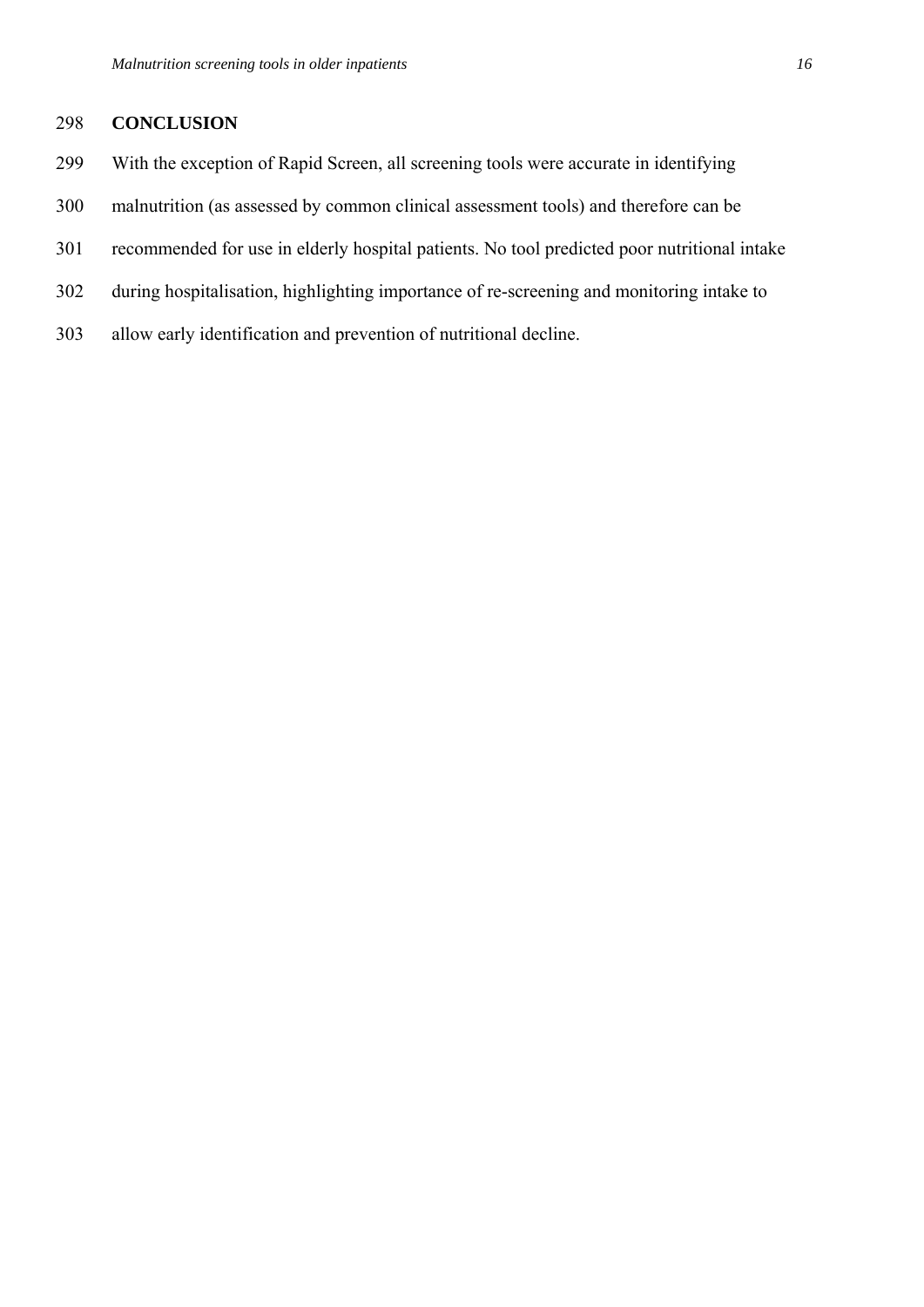# 298 **CONCLUSION**

- 299 With the exception of Rapid Screen, all screening tools were accurate in identifying
- 300 malnutrition (as assessed by common clinical assessment tools) and therefore can be
- 301 recommended for use in elderly hospital patients. No tool predicted poor nutritional intake
- 302 during hospitalisation, highlighting importance of re-screening and monitoring intake to
- 303 allow early identification and prevention of nutritional decline.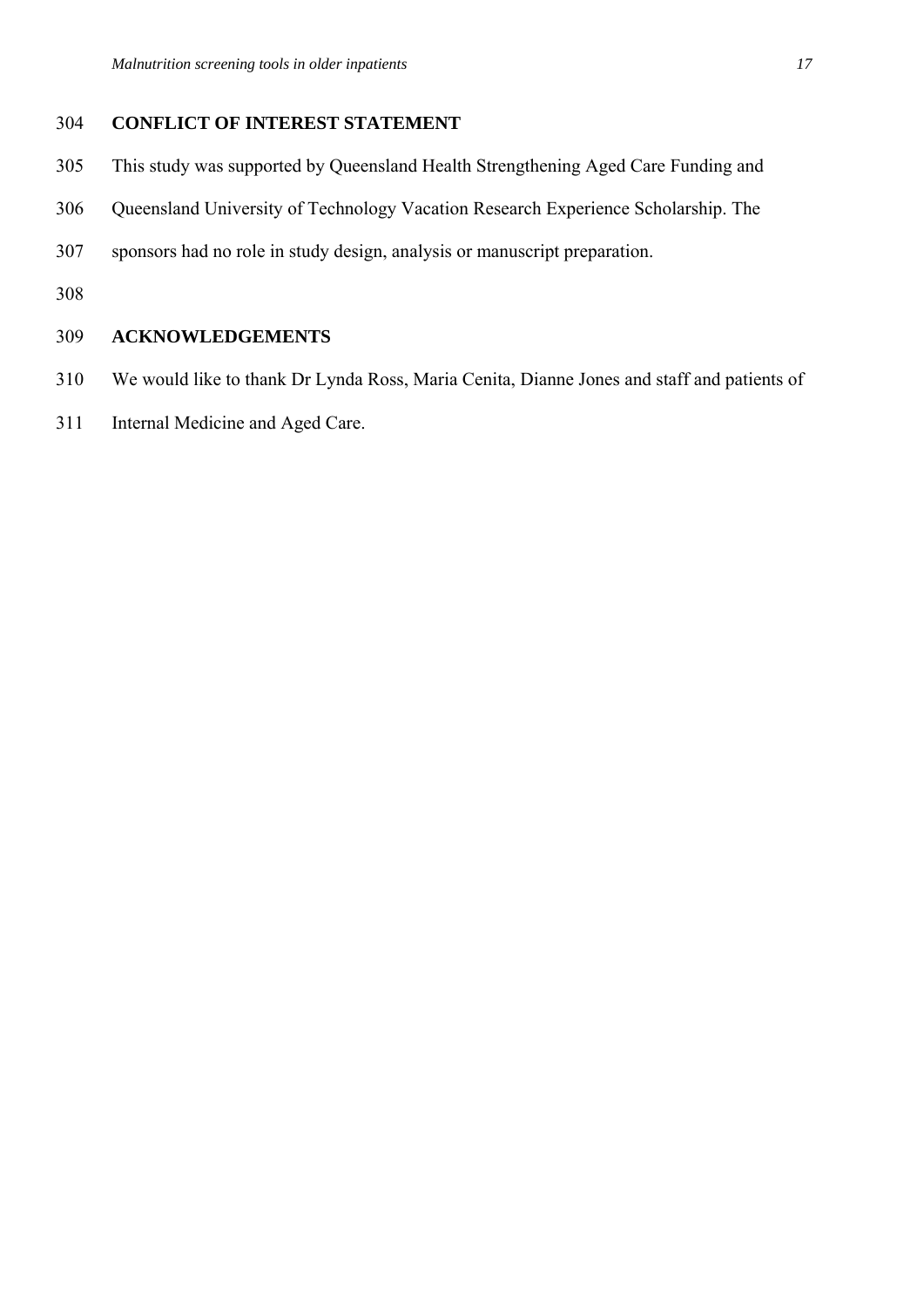# 304 **CONFLICT OF INTEREST STATEMENT**

- 305 This study was supported by Queensland Health Strengthening Aged Care Funding and
- 306 Queensland University of Technology Vacation Research Experience Scholarship. The
- 307 sponsors had no role in study design, analysis or manuscript preparation.
- 308

# 309 **ACKNOWLEDGEMENTS**

- 310 We would like to thank Dr Lynda Ross, Maria Cenita, Dianne Jones and staff and patients of
- 311 Internal Medicine and Aged Care.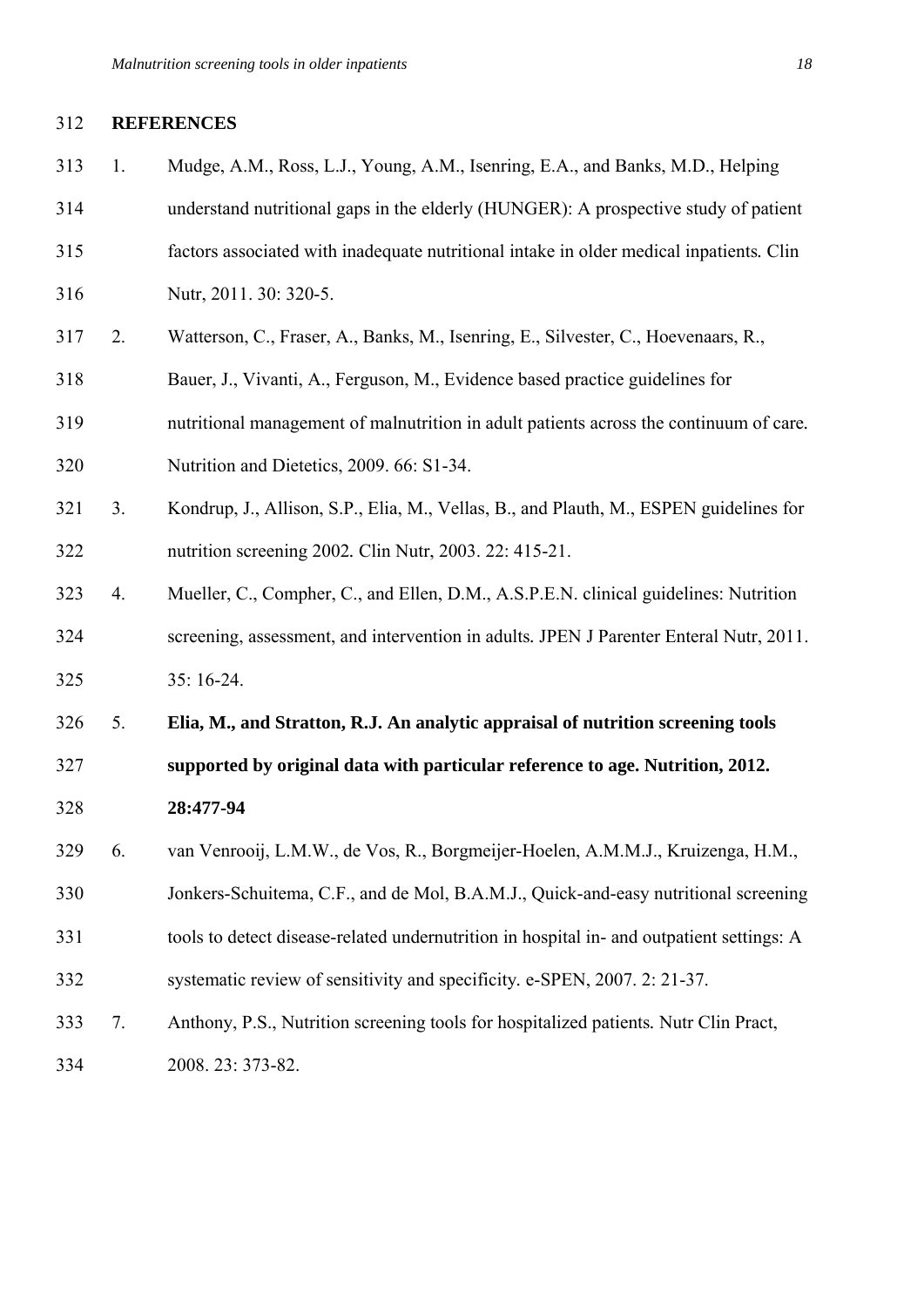#### 312 **REFERENCES**

313 1. Mudge, A.M., Ross, L.J., Young, A.M., Isenring, E.A., and Banks, M.D., Helping 314 understand nutritional gaps in the elderly (HUNGER): A prospective study of patient 315 factors associated with inadequate nutritional intake in older medical inpatients*.* Clin 316 Nutr, 2011. 30: 320-5. 317 2. Watterson, C., Fraser, A., Banks, M., Isenring, E., Silvester, C., Hoevenaars, R., 318 Bauer, J., Vivanti, A., Ferguson, M., Evidence based practice guidelines for 319 nutritional management of malnutrition in adult patients across the continuum of care*.* 320 Nutrition and Dietetics, 2009. 66: S1-34. 321 3. Kondrup, J., Allison, S.P., Elia, M., Vellas, B., and Plauth, M., ESPEN guidelines for 322 nutrition screening 2002*.* Clin Nutr, 2003. 22: 415-21. 323 4. Mueller, C., Compher, C., and Ellen, D.M., A.S.P.E.N. clinical guidelines: Nutrition 324 screening, assessment, and intervention in adults*.* JPEN J Parenter Enteral Nutr, 2011. 325 35: 16-24. 326 5. **Elia, M., and Stratton, R.J. An analytic appraisal of nutrition screening tools**  327 **supported by original data with particular reference to age. Nutrition, 2012.**  328 **28:477-94** 329 6. van Venrooij, L.M.W., de Vos, R., Borgmeijer-Hoelen, A.M.M.J., Kruizenga, H.M., 330 Jonkers-Schuitema, C.F., and de Mol, B.A.M.J., Quick-and-easy nutritional screening 331 tools to detect disease-related undernutrition in hospital in- and outpatient settings: A 332 systematic review of sensitivity and specificity*.* e-SPEN, 2007. 2: 21-37. 333 7. Anthony, P.S., Nutrition screening tools for hospitalized patients*.* Nutr Clin Pract, 334 2008. 23: 373-82.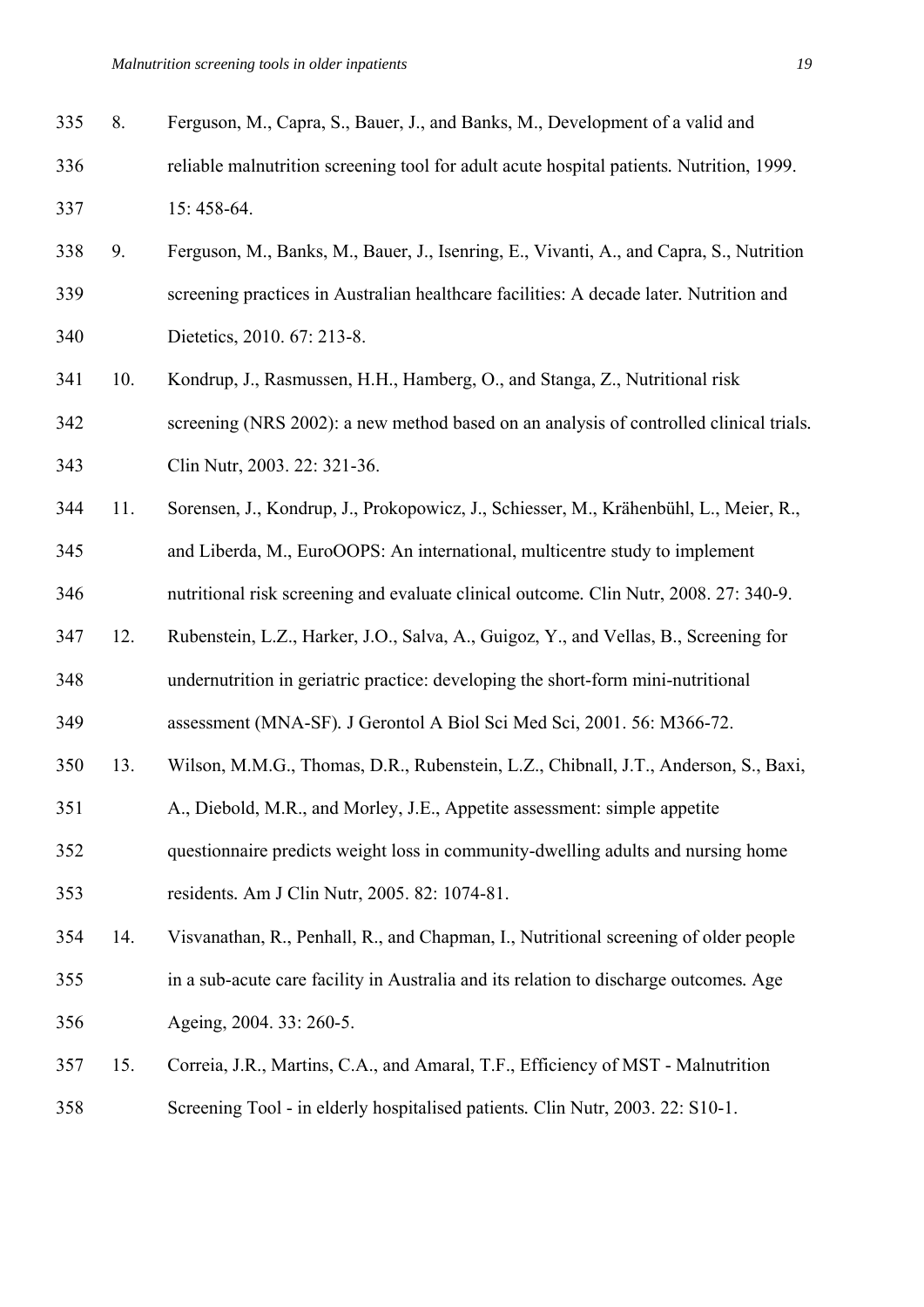| 335 | 8.  | Ferguson, M., Capra, S., Bauer, J., and Banks, M., Development of a valid and            |
|-----|-----|------------------------------------------------------------------------------------------|
| 336 |     | reliable malnutrition screening tool for adult acute hospital patients. Nutrition, 1999. |
| 337 |     | 15:458-64.                                                                               |
| 338 | 9.  | Ferguson, M., Banks, M., Bauer, J., Isenring, E., Vivanti, A., and Capra, S., Nutrition  |
| 339 |     | screening practices in Australian healthcare facilities: A decade later. Nutrition and   |
| 340 |     | Dietetics, 2010. 67: 213-8.                                                              |
| 341 | 10. | Kondrup, J., Rasmussen, H.H., Hamberg, O., and Stanga, Z., Nutritional risk              |
| 342 |     | screening (NRS 2002): a new method based on an analysis of controlled clinical trials.   |
| 343 |     | Clin Nutr, 2003. 22: 321-36.                                                             |
| 344 | 11. | Sorensen, J., Kondrup, J., Prokopowicz, J., Schiesser, M., Krähenbühl, L., Meier, R.,    |
| 345 |     | and Liberda, M., EuroOOPS: An international, multicentre study to implement              |
| 346 |     | nutritional risk screening and evaluate clinical outcome. Clin Nutr, 2008. 27: 340-9.    |
| 347 | 12. | Rubenstein, L.Z., Harker, J.O., Salva, A., Guigoz, Y., and Vellas, B., Screening for     |
| 348 |     | undernutrition in geriatric practice: developing the short-form mini-nutritional         |
| 349 |     | assessment (MNA-SF). J Gerontol A Biol Sci Med Sci, 2001. 56: M366-72.                   |
| 350 | 13. | Wilson, M.M.G., Thomas, D.R., Rubenstein, L.Z., Chibnall, J.T., Anderson, S., Baxi,      |
| 351 |     | A., Diebold, M.R., and Morley, J.E., Appetite assessment: simple appetite                |
| 352 |     | questionnaire predicts weight loss in community-dwelling adults and nursing home         |
| 353 |     | residents. Am J Clin Nutr, 2005. 82: 1074-81.                                            |
| 354 | 14. | Visvanathan, R., Penhall, R., and Chapman, I., Nutritional screening of older people     |
|     |     |                                                                                          |

- 355 in a sub-acute care facility in Australia and its relation to discharge outcomes*.* Age 356 Ageing, 2004. 33: 260-5.
- 357 15. Correia, J.R., Martins, C.A., and Amaral, T.F., Efficiency of MST Malnutrition 358 Screening Tool - in elderly hospitalised patients*.* Clin Nutr, 2003. 22: S10-1.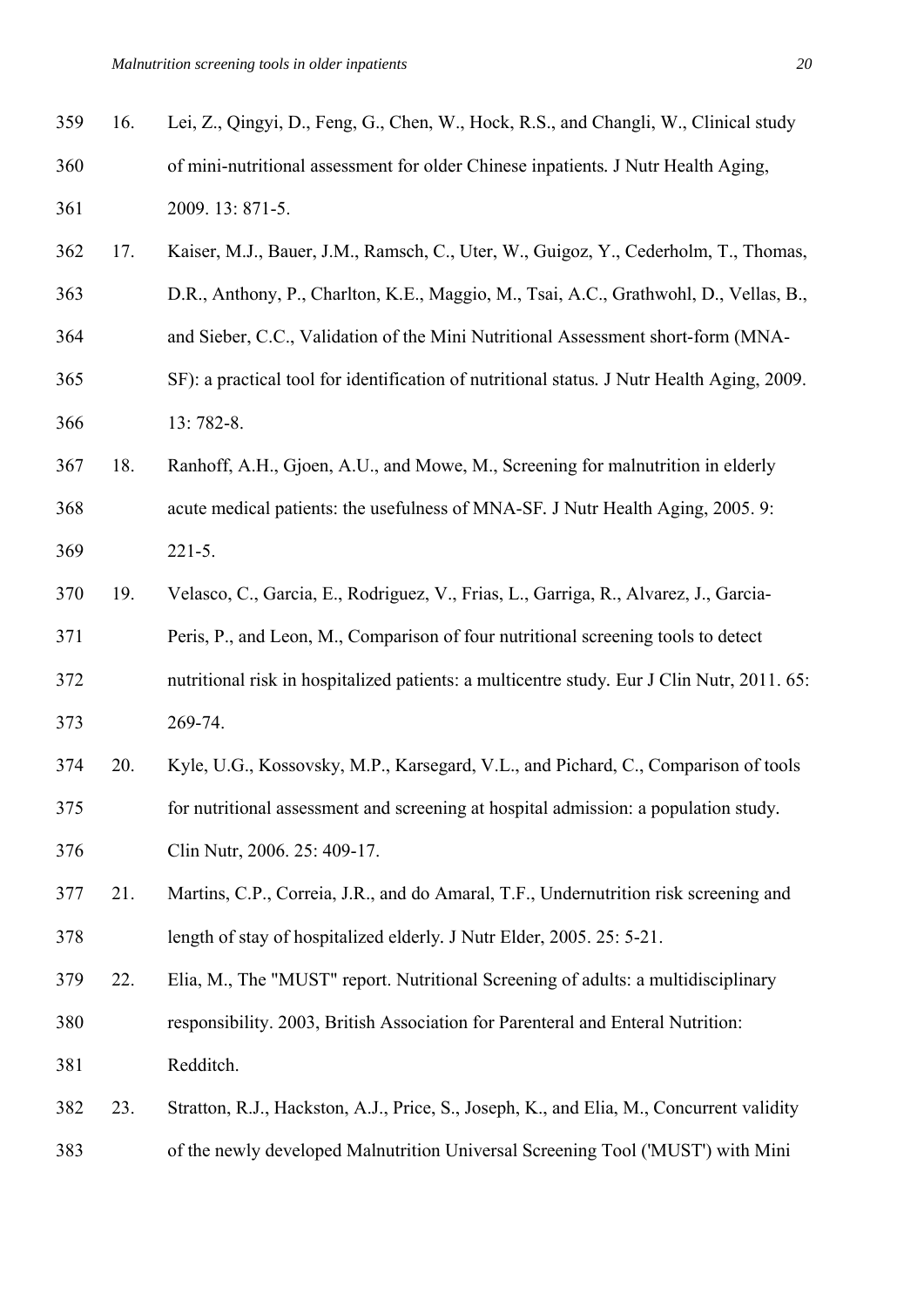| 359 | 16. | Lei, Z., Qingyi, D., Feng, G., Chen, W., Hock, R.S., and Changli, W., Clinical study       |
|-----|-----|--------------------------------------------------------------------------------------------|
| 360 |     | of mini-nutritional assessment for older Chinese inpatients. J Nutr Health Aging,          |
| 361 |     | 2009. 13: 871-5.                                                                           |
| 362 | 17. | Kaiser, M.J., Bauer, J.M., Ramsch, C., Uter, W., Guigoz, Y., Cederholm, T., Thomas,        |
| 363 |     | D.R., Anthony, P., Charlton, K.E., Maggio, M., Tsai, A.C., Grathwohl, D., Vellas, B.,      |
| 364 |     | and Sieber, C.C., Validation of the Mini Nutritional Assessment short-form (MNA-           |
| 365 |     | SF): a practical tool for identification of nutritional status. J Nutr Health Aging, 2009. |
| 366 |     | 13:782-8.                                                                                  |
| 367 | 18. | Ranhoff, A.H., Gjoen, A.U., and Mowe, M., Screening for malnutrition in elderly            |
| 368 |     | acute medical patients: the usefulness of MNA-SF. J Nutr Health Aging, 2005. 9:            |
| 369 |     | $221 - 5.$                                                                                 |
| 370 | 19. | Velasco, C., Garcia, E., Rodriguez, V., Frias, L., Garriga, R., Alvarez, J., Garcia-       |
| 371 |     | Peris, P., and Leon, M., Comparison of four nutritional screening tools to detect          |
| 372 |     | nutritional risk in hospitalized patients: a multicentre study. Eur J Clin Nutr, 2011. 65: |
| 373 |     | 269-74.                                                                                    |
| 374 | 20. | Kyle, U.G., Kossovsky, M.P., Karsegard, V.L., and Pichard, C., Comparison of tools         |
| 375 |     | for nutritional assessment and screening at hospital admission: a population study.        |
| 376 |     | Clin Nutr, 2006. 25: 409-17.                                                               |
| 377 | 21. | Martins, C.P., Correia, J.R., and do Amaral, T.F., Undernutrition risk screening and       |
| 378 |     | length of stay of hospitalized elderly. J Nutr Elder, 2005. 25: 5-21.                      |
| 379 | 22. | Elia, M., The "MUST" report. Nutritional Screening of adults: a multidisciplinary          |
| 380 |     | responsibility. 2003, British Association for Parenteral and Enteral Nutrition:            |
| 381 |     | Redditch.                                                                                  |
| 382 | 23. | Stratton, R.J., Hackston, A.J., Price, S., Joseph, K., and Elia, M., Concurrent validity   |
| 383 |     | of the newly developed Malnutrition Universal Screening Tool ('MUST') with Mini            |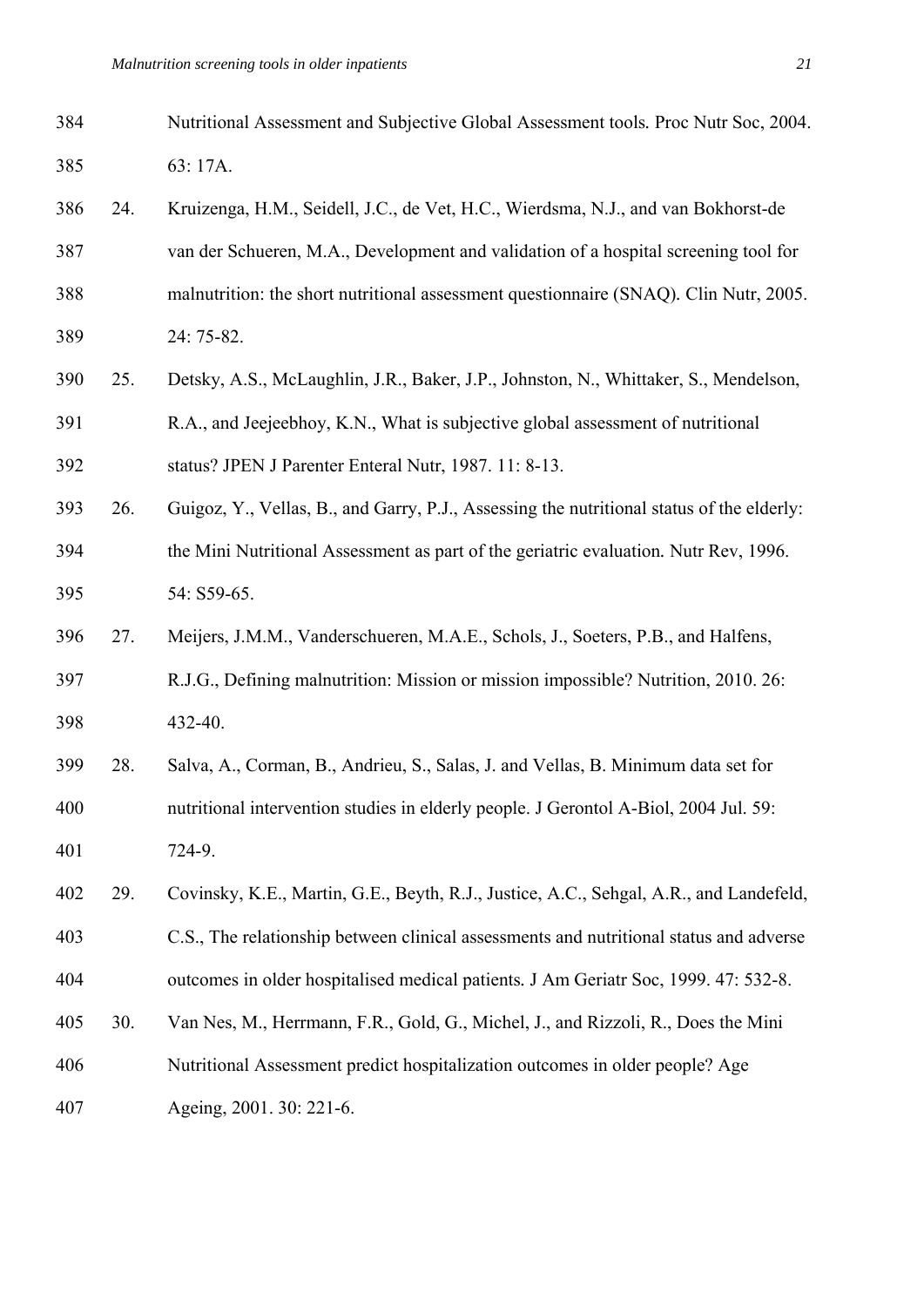- 
- 385 63: 17A. 386 24. Kruizenga, H.M., Seidell, J.C., de Vet, H.C., Wierdsma, N.J., and van Bokhorst-de 387 van der Schueren, M.A., Development and validation of a hospital screening tool for 388 malnutrition: the short nutritional assessment questionnaire (SNAQ)*.* Clin Nutr, 2005. 389 24: 75-82. 390 25. Detsky, A.S., McLaughlin, J.R., Baker, J.P., Johnston, N., Whittaker, S., Mendelson, 391 R.A., and Jeejeebhoy, K.N., What is subjective global assessment of nutritional 392 status? JPEN J Parenter Enteral Nutr, 1987. 11: 8-13. 393 26. Guigoz, Y., Vellas, B., and Garry, P.J., Assessing the nutritional status of the elderly: 394 the Mini Nutritional Assessment as part of the geriatric evaluation*.* Nutr Rev, 1996. 395 54: S59-65. 396 27. Meijers, J.M.M., Vanderschueren, M.A.E., Schols, J., Soeters, P.B., and Halfens, 397 R.J.G., Defining malnutrition: Mission or mission impossible? Nutrition, 2010. 26: 398 432-40. 399 28. Salva, A., Corman, B., Andrieu, S., Salas, J. and Vellas, B. Minimum data set for 400 nutritional intervention studies in elderly people. J Gerontol A-Biol, 2004 Jul. 59: 401 724-9. 402 29. Covinsky, K.E., Martin, G.E., Beyth, R.J., Justice, A.C., Sehgal, A.R., and Landefeld, 403 C.S., The relationship between clinical assessments and nutritional status and adverse 404 outcomes in older hospitalised medical patients*.* J Am Geriatr Soc, 1999. 47: 532-8. 405 30. Van Nes, M., Herrmann, F.R., Gold, G., Michel, J., and Rizzoli, R., Does the Mini 406 Nutritional Assessment predict hospitalization outcomes in older people? Age 407 Ageing, 2001. 30: 221-6.

384 Nutritional Assessment and Subjective Global Assessment tools*.* Proc Nutr Soc, 2004.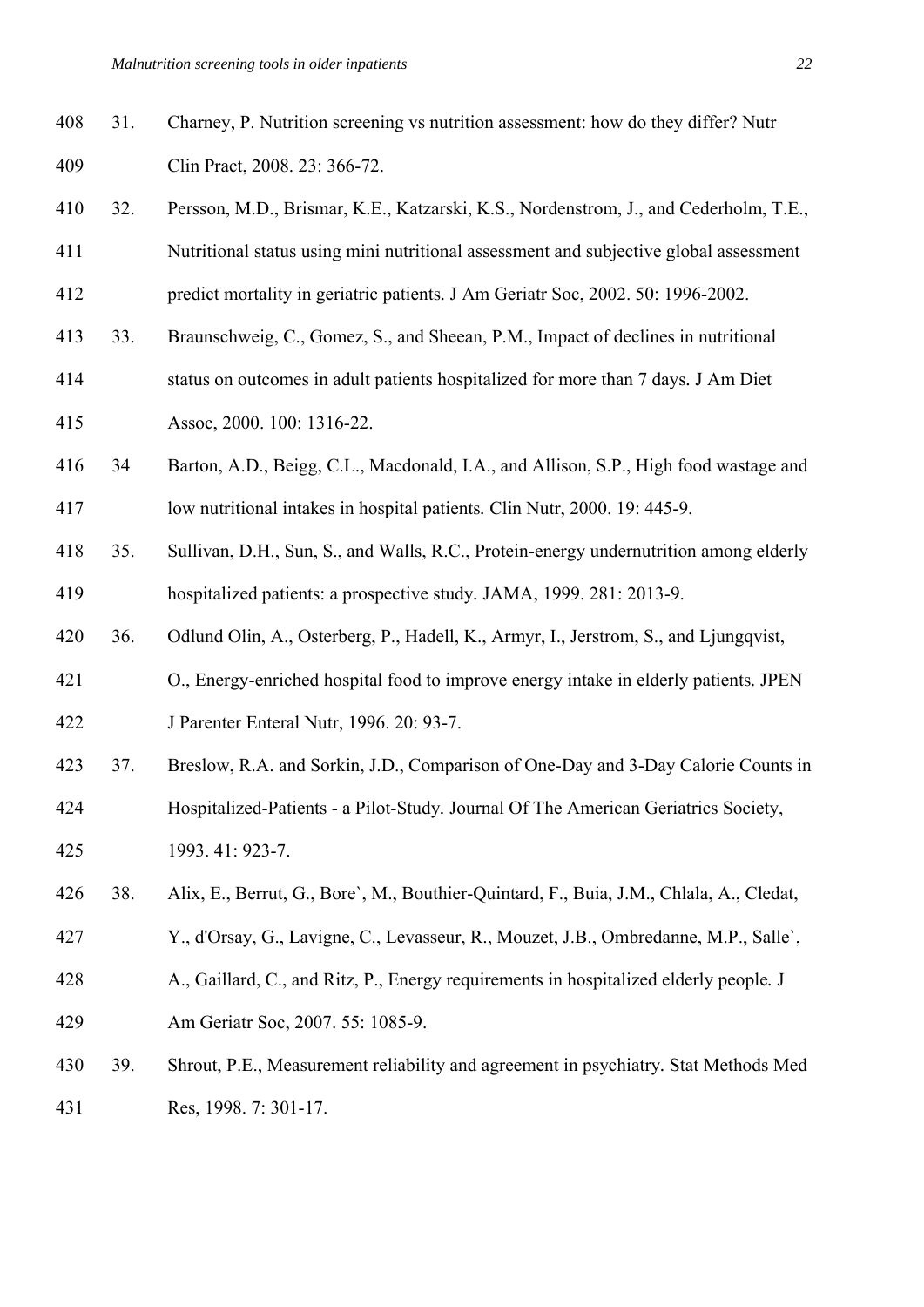| 408 | 31. | Charney, P. Nutrition screening vs nutrition assessment: how do they differ? Nutr |
|-----|-----|-----------------------------------------------------------------------------------|
| 409 |     | Clin Pract, 2008. 23: 366-72.                                                     |

- 410 32. Persson, M.D., Brismar, K.E., Katzarski, K.S., Nordenstrom, J., and Cederholm, T.E., 411 Nutritional status using mini nutritional assessment and subjective global assessment
- 412 predict mortality in geriatric patients*.* J Am Geriatr Soc, 2002. 50: 1996-2002.
- 413 33. Braunschweig, C., Gomez, S., and Sheean, P.M., Impact of declines in nutritional
- 414 status on outcomes in adult patients hospitalized for more than 7 days*.* J Am Diet 415 Assoc, 2000. 100: 1316-22.
- 416 34 Barton, A.D., Beigg, C.L., Macdonald, I.A., and Allison, S.P., High food wastage and 417 low nutritional intakes in hospital patients*.* Clin Nutr, 2000. 19: 445-9.
- 418 35. Sullivan, D.H., Sun, S., and Walls, R.C., Protein-energy undernutrition among elderly 419 hospitalized patients: a prospective study*.* JAMA, 1999. 281: 2013-9.
- 420 36. Odlund Olin, A., Osterberg, P., Hadell, K., Armyr, I., Jerstrom, S., and Ljungqvist,
- 421 O., Energy-enriched hospital food to improve energy intake in elderly patients*.* JPEN 422 J Parenter Enteral Nutr, 1996. 20: 93-7.
- 423 37. Breslow, R.A. and Sorkin, J.D., Comparison of One-Day and 3-Day Calorie Counts in
- 424 Hospitalized-Patients a Pilot-Study*.* Journal Of The American Geriatrics Society, 425 1993. 41: 923-7.
- 426 38. Alix, E., Berrut, G., Bore`, M., Bouthier-Quintard, F., Buia, J.M., Chlala, A., Cledat,
- 427 Y., d'Orsay, G., Lavigne, C., Levasseur, R., Mouzet, J.B., Ombredanne, M.P., Salle`,
- 428 A., Gaillard, C., and Ritz, P., Energy requirements in hospitalized elderly people*.* J
- 429 Am Geriatr Soc, 2007. 55: 1085-9.
- 430 39. Shrout, P.E., Measurement reliability and agreement in psychiatry*.* Stat Methods Med 431 Res, 1998. 7: 301-17.